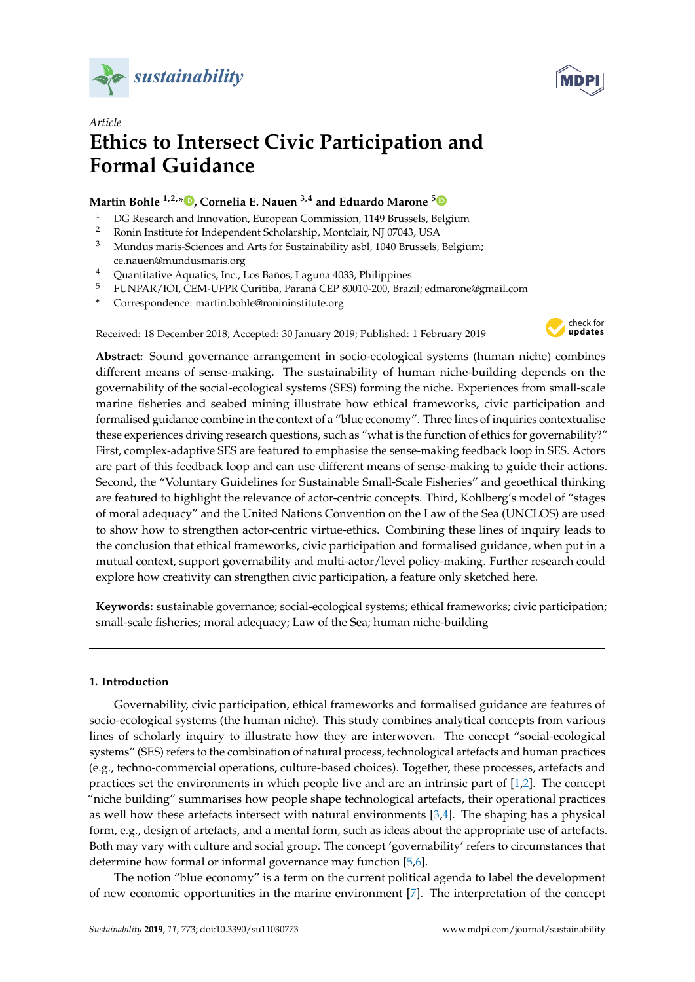



# *Article* **Ethics to Intersect Civic Participation and Formal Guidance**

# **Martin Bohle 1,2,[\\*](https://orcid.org/0000-0002-8794-5810) , Cornelia E. Nauen 3,4 and Eduardo Marone [5](https://orcid.org/0000-0003-4521-8604)**

- <sup>1</sup> DG Research and Innovation, European Commission, 1149 Brussels, Belgium<br><sup>2</sup> Popin Institute for Independent Scholarship, Montelair, NJ 07042, JJSA
- <sup>2</sup> Ronin Institute for Independent Scholarship, Montclair, NJ 07043, USA
- <sup>3</sup> Mundus maris-Sciences and Arts for Sustainability asbl, 1040 Brussels, Belgium; ce.nauen@mundusmaris.org
- <sup>4</sup> Quantitative Aquatics, Inc., Los Baños, Laguna 4033, Philippines
- <sup>5</sup> FUNPAR/IOI, CEM-UFPR Curitiba, Paraná CEP 80010-200, Brazil; edmarone@gmail.com
- **\*** Correspondence: martin.bohle@ronininstitute.org

Received: 18 December 2018; Accepted: 30 January 2019; Published: 1 February 2019



**Abstract:** Sound governance arrangement in socio-ecological systems (human niche) combines different means of sense-making. The sustainability of human niche-building depends on the governability of the social-ecological systems (SES) forming the niche. Experiences from small-scale marine fisheries and seabed mining illustrate how ethical frameworks, civic participation and formalised guidance combine in the context of a "blue economy". Three lines of inquiries contextualise these experiences driving research questions, such as "what is the function of ethics for governability?" First, complex-adaptive SES are featured to emphasise the sense-making feedback loop in SES. Actors are part of this feedback loop and can use different means of sense-making to guide their actions. Second, the "Voluntary Guidelines for Sustainable Small-Scale Fisheries" and geoethical thinking are featured to highlight the relevance of actor-centric concepts. Third, Kohlberg's model of "stages of moral adequacy" and the United Nations Convention on the Law of the Sea (UNCLOS) are used to show how to strengthen actor-centric virtue-ethics. Combining these lines of inquiry leads to the conclusion that ethical frameworks, civic participation and formalised guidance, when put in a mutual context, support governability and multi-actor/level policy-making. Further research could explore how creativity can strengthen civic participation, a feature only sketched here.

**Keywords:** sustainable governance; social-ecological systems; ethical frameworks; civic participation; small-scale fisheries; moral adequacy; Law of the Sea; human niche-building

## **1. Introduction**

Governability, civic participation, ethical frameworks and formalised guidance are features of socio-ecological systems (the human niche). This study combines analytical concepts from various lines of scholarly inquiry to illustrate how they are interwoven. The concept "social-ecological systems" (SES) refers to the combination of natural process, technological artefacts and human practices (e.g., techno-commercial operations, culture-based choices). Together, these processes, artefacts and practices set the environments in which people live and are an intrinsic part of [\[1,](#page-12-0)[2\]](#page-12-1). The concept "niche building" summarises how people shape technological artefacts, their operational practices as well how these artefacts intersect with natural environments [\[3,](#page-12-2)[4\]](#page-12-3). The shaping has a physical form, e.g., design of artefacts, and a mental form, such as ideas about the appropriate use of artefacts. Both may vary with culture and social group. The concept 'governability' refers to circumstances that determine how formal or informal governance may function [\[5,](#page-12-4)[6\]](#page-12-5).

The notion "blue economy" is a term on the current political agenda to label the development of new economic opportunities in the marine environment [\[7\]](#page-12-6). The interpretation of the concept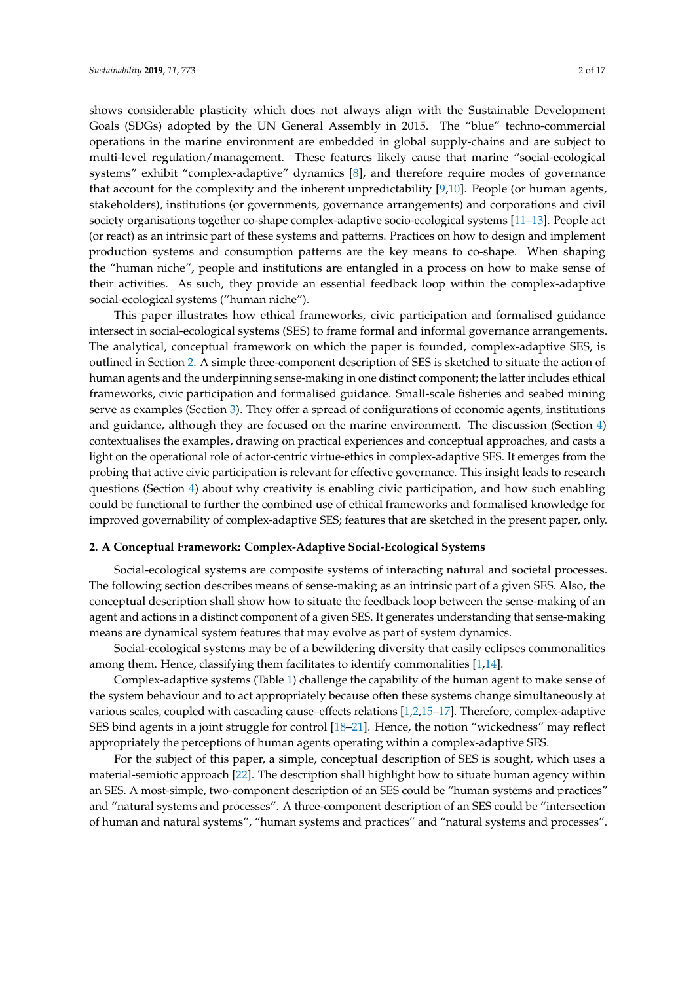shows considerable plasticity which does not always align with the Sustainable Development Goals (SDGs) adopted by the UN General Assembly in 2015. The "blue" techno-commercial operations in the marine environment are embedded in global supply-chains and are subject to multi-level regulation/management. These features likely cause that marine "social-ecological systems" exhibit "complex-adaptive" dynamics [\[8\]](#page-12-7), and therefore require modes of governance that account for the complexity and the inherent unpredictability [\[9,](#page-12-8)[10\]](#page-12-9). People (or human agents, stakeholders), institutions (or governments, governance arrangements) and corporations and civil society organisations together co-shape complex-adaptive socio-ecological systems [\[11–](#page-12-10)[13\]](#page-12-11). People act (or react) as an intrinsic part of these systems and patterns. Practices on how to design and implement production systems and consumption patterns are the key means to co-shape. When shaping the "human niche", people and institutions are entangled in a process on how to make sense of their activities. As such, they provide an essential feedback loop within the complex-adaptive social-ecological systems ("human niche").

This paper illustrates how ethical frameworks, civic participation and formalised guidance intersect in social-ecological systems (SES) to frame formal and informal governance arrangements. The analytical, conceptual framework on which the paper is founded, complex-adaptive SES, is outlined in Section [2.](#page-1-0) A simple three-component description of SES is sketched to situate the action of human agents and the underpinning sense-making in one distinct component; the latter includes ethical frameworks, civic participation and formalised guidance. Small-scale fisheries and seabed mining serve as examples (Section [3\)](#page-3-0). They offer a spread of configurations of economic agents, institutions and guidance, although they are focused on the marine environment. The discussion (Section [4\)](#page-7-0) contextualises the examples, drawing on practical experiences and conceptual approaches, and casts a light on the operational role of actor-centric virtue-ethics in complex-adaptive SES. It emerges from the probing that active civic participation is relevant for effective governance. This insight leads to research questions (Section [4\)](#page-7-0) about why creativity is enabling civic participation, and how such enabling could be functional to further the combined use of ethical frameworks and formalised knowledge for improved governability of complex-adaptive SES; features that are sketched in the present paper, only.

#### <span id="page-1-0"></span>**2. A Conceptual Framework: Complex-Adaptive Social-Ecological Systems**

Social-ecological systems are composite systems of interacting natural and societal processes. The following section describes means of sense-making as an intrinsic part of a given SES. Also, the conceptual description shall show how to situate the feedback loop between the sense-making of an agent and actions in a distinct component of a given SES. It generates understanding that sense-making means are dynamical system features that may evolve as part of system dynamics.

Social-ecological systems may be of a bewildering diversity that easily eclipses commonalities among them. Hence, classifying them facilitates to identify commonalities [\[1,](#page-12-0)[14\]](#page-12-12).

Complex-adaptive systems (Table [1\)](#page-2-0) challenge the capability of the human agent to make sense of the system behaviour and to act appropriately because often these systems change simultaneously at various scales, coupled with cascading cause–effects relations [\[1,](#page-12-0)[2,](#page-12-1)[15–](#page-12-13)[17\]](#page-13-0). Therefore, complex-adaptive SES bind agents in a joint struggle for control [\[18–](#page-13-1)[21\]](#page-13-2). Hence, the notion "wickedness" may reflect appropriately the perceptions of human agents operating within a complex-adaptive SES.

For the subject of this paper, a simple, conceptual description of SES is sought, which uses a material-semiotic approach [\[22\]](#page-13-3). The description shall highlight how to situate human agency within an SES. A most-simple, two-component description of an SES could be "human systems and practices" and "natural systems and processes". A three-component description of an SES could be "intersection of human and natural systems", "human systems and practices" and "natural systems and processes".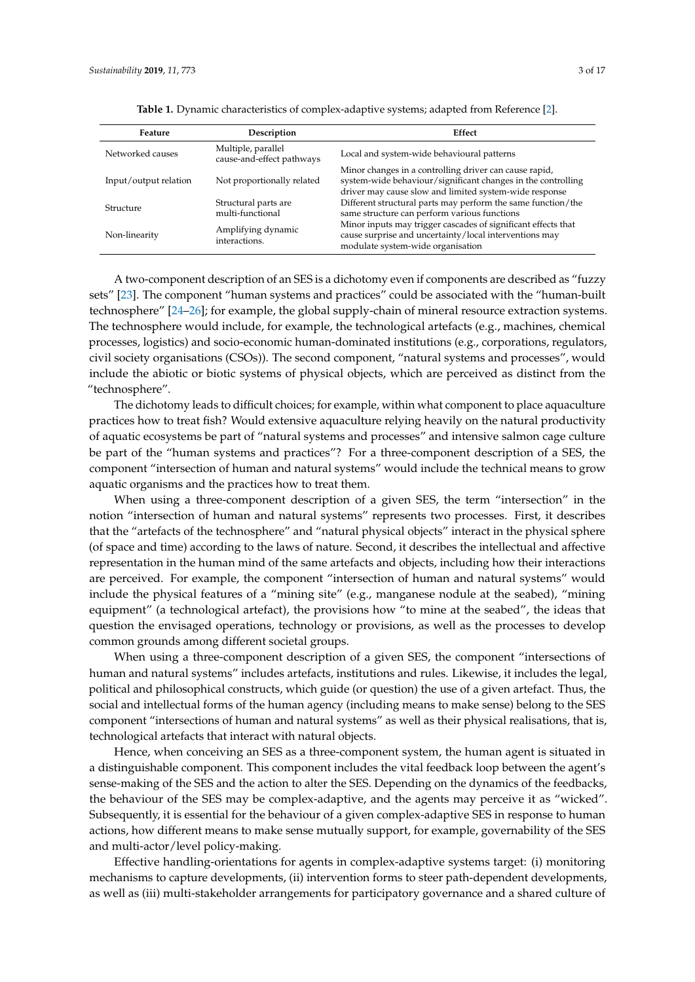Non-linearity Amplifying dynamic

interactions.

<span id="page-2-0"></span>

| Feature               | Description                                     | Effect                                                                                                                                                                           |
|-----------------------|-------------------------------------------------|----------------------------------------------------------------------------------------------------------------------------------------------------------------------------------|
| Networked causes      | Multiple, parallel<br>cause-and-effect pathways | Local and system-wide behavioural patterns                                                                                                                                       |
| Input/output relation | Not proportionally related                      | Minor changes in a controlling driver can cause rapid,<br>system-wide behaviour/significant changes in the controlling<br>driver may cause slow and limited system-wide response |
| Structure             | Structural parts are<br>multi-functional        | Different structural parts may perform the same function/the<br>same structure can perform various functions                                                                     |
|                       | Amplifying demands                              | Minor inputs may trigger cascades of significant effects that                                                                                                                    |

cause surprise and uncertainty/local interventions may

modulate system-wide organisation

|  | Table 1. Dynamic characteristics of complex-adaptive systems; adapted from Reference [2]. |  |  |  |
|--|-------------------------------------------------------------------------------------------|--|--|--|
|--|-------------------------------------------------------------------------------------------|--|--|--|

A two-component description of an SES is a dichotomy even if components are described as "fuzzy sets" [\[23\]](#page-13-4). The component "human systems and practices" could be associated with the "human-built technosphere" [\[24](#page-13-5)[–26\]](#page-13-6); for example, the global supply-chain of mineral resource extraction systems. The technosphere would include, for example, the technological artefacts (e.g., machines, chemical processes, logistics) and socio-economic human-dominated institutions (e.g., corporations, regulators, civil society organisations (CSOs)). The second component, "natural systems and processes", would include the abiotic or biotic systems of physical objects, which are perceived as distinct from the "technosphere".

The dichotomy leads to difficult choices; for example, within what component to place aquaculture practices how to treat fish? Would extensive aquaculture relying heavily on the natural productivity of aquatic ecosystems be part of "natural systems and processes" and intensive salmon cage culture be part of the "human systems and practices"? For a three-component description of a SES, the component "intersection of human and natural systems" would include the technical means to grow aquatic organisms and the practices how to treat them.

When using a three-component description of a given SES, the term "intersection" in the notion "intersection of human and natural systems" represents two processes. First, it describes that the "artefacts of the technosphere" and "natural physical objects" interact in the physical sphere (of space and time) according to the laws of nature. Second, it describes the intellectual and affective representation in the human mind of the same artefacts and objects, including how their interactions are perceived. For example, the component "intersection of human and natural systems" would include the physical features of a "mining site" (e.g., manganese nodule at the seabed), "mining equipment" (a technological artefact), the provisions how "to mine at the seabed", the ideas that question the envisaged operations, technology or provisions, as well as the processes to develop common grounds among different societal groups.

When using a three-component description of a given SES, the component "intersections of human and natural systems" includes artefacts, institutions and rules. Likewise, it includes the legal, political and philosophical constructs, which guide (or question) the use of a given artefact. Thus, the social and intellectual forms of the human agency (including means to make sense) belong to the SES component "intersections of human and natural systems" as well as their physical realisations, that is, technological artefacts that interact with natural objects.

Hence, when conceiving an SES as a three-component system, the human agent is situated in a distinguishable component. This component includes the vital feedback loop between the agent's sense-making of the SES and the action to alter the SES. Depending on the dynamics of the feedbacks, the behaviour of the SES may be complex-adaptive, and the agents may perceive it as "wicked". Subsequently, it is essential for the behaviour of a given complex-adaptive SES in response to human actions, how different means to make sense mutually support, for example, governability of the SES and multi-actor/level policy-making.

Effective handling-orientations for agents in complex-adaptive systems target: (i) monitoring mechanisms to capture developments, (ii) intervention forms to steer path-dependent developments, as well as (iii) multi-stakeholder arrangements for participatory governance and a shared culture of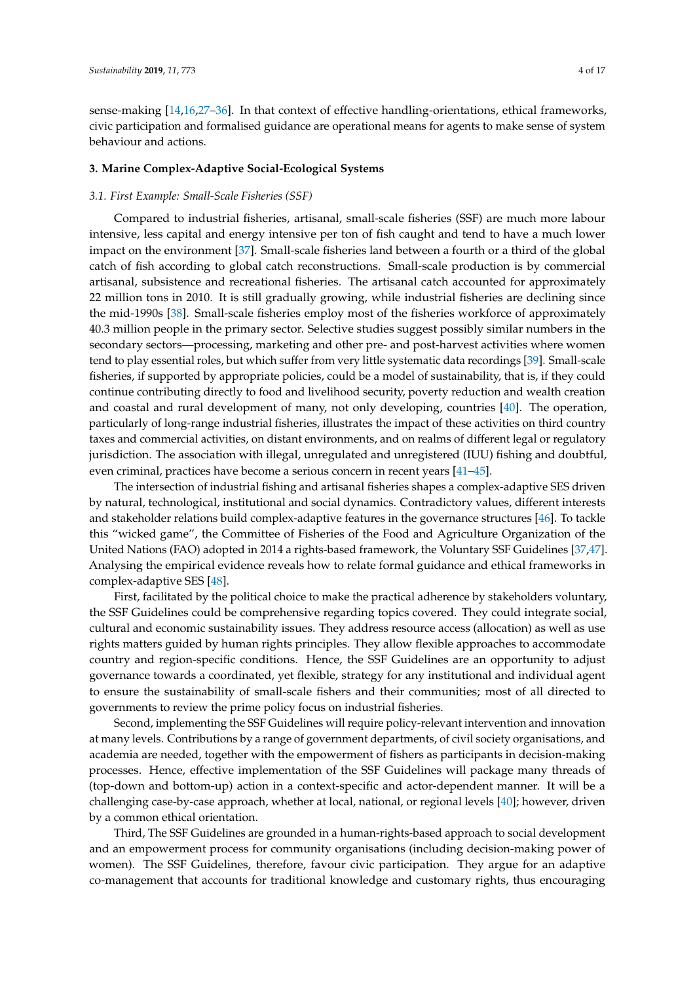sense-making [\[14](#page-12-12)[,16](#page-13-7)[,27–](#page-13-8)[36\]](#page-13-9). In that context of effective handling-orientations, ethical frameworks, civic participation and formalised guidance are operational means for agents to make sense of system behaviour and actions.

#### <span id="page-3-0"></span>**3. Marine Complex-Adaptive Social-Ecological Systems**

#### *3.1. First Example: Small-Scale Fisheries (SSF)*

Compared to industrial fisheries, artisanal, small-scale fisheries (SSF) are much more labour intensive, less capital and energy intensive per ton of fish caught and tend to have a much lower impact on the environment [\[37\]](#page-13-10). Small-scale fisheries land between a fourth or a third of the global catch of fish according to global catch reconstructions. Small-scale production is by commercial artisanal, subsistence and recreational fisheries. The artisanal catch accounted for approximately 22 million tons in 2010. It is still gradually growing, while industrial fisheries are declining since the mid-1990s [\[38\]](#page-13-11). Small-scale fisheries employ most of the fisheries workforce of approximately 40.3 million people in the primary sector. Selective studies suggest possibly similar numbers in the secondary sectors—processing, marketing and other pre- and post-harvest activities where women tend to play essential roles, but which suffer from very little systematic data recordings [\[39\]](#page-13-12). Small-scale fisheries, if supported by appropriate policies, could be a model of sustainability, that is, if they could continue contributing directly to food and livelihood security, poverty reduction and wealth creation and coastal and rural development of many, not only developing, countries [\[40\]](#page-13-13). The operation, particularly of long-range industrial fisheries, illustrates the impact of these activities on third country taxes and commercial activities, on distant environments, and on realms of different legal or regulatory jurisdiction. The association with illegal, unregulated and unregistered (IUU) fishing and doubtful, even criminal, practices have become a serious concern in recent years [\[41](#page-13-14)[–45\]](#page-14-0).

The intersection of industrial fishing and artisanal fisheries shapes a complex-adaptive SES driven by natural, technological, institutional and social dynamics. Contradictory values, different interests and stakeholder relations build complex-adaptive features in the governance structures [\[46\]](#page-14-1). To tackle this "wicked game", the Committee of Fisheries of the Food and Agriculture Organization of the United Nations (FAO) adopted in 2014 a rights-based framework, the Voluntary SSF Guidelines [\[37](#page-13-10)[,47\]](#page-14-2). Analysing the empirical evidence reveals how to relate formal guidance and ethical frameworks in complex-adaptive SES [\[48\]](#page-14-3).

First, facilitated by the political choice to make the practical adherence by stakeholders voluntary, the SSF Guidelines could be comprehensive regarding topics covered. They could integrate social, cultural and economic sustainability issues. They address resource access (allocation) as well as use rights matters guided by human rights principles. They allow flexible approaches to accommodate country and region-specific conditions. Hence, the SSF Guidelines are an opportunity to adjust governance towards a coordinated, yet flexible, strategy for any institutional and individual agent to ensure the sustainability of small-scale fishers and their communities; most of all directed to governments to review the prime policy focus on industrial fisheries.

Second, implementing the SSF Guidelines will require policy-relevant intervention and innovation at many levels. Contributions by a range of government departments, of civil society organisations, and academia are needed, together with the empowerment of fishers as participants in decision-making processes. Hence, effective implementation of the SSF Guidelines will package many threads of (top-down and bottom-up) action in a context-specific and actor-dependent manner. It will be a challenging case-by-case approach, whether at local, national, or regional levels [\[40\]](#page-13-13); however, driven by a common ethical orientation.

Third, The SSF Guidelines are grounded in a human-rights-based approach to social development and an empowerment process for community organisations (including decision-making power of women). The SSF Guidelines, therefore, favour civic participation. They argue for an adaptive co-management that accounts for traditional knowledge and customary rights, thus encouraging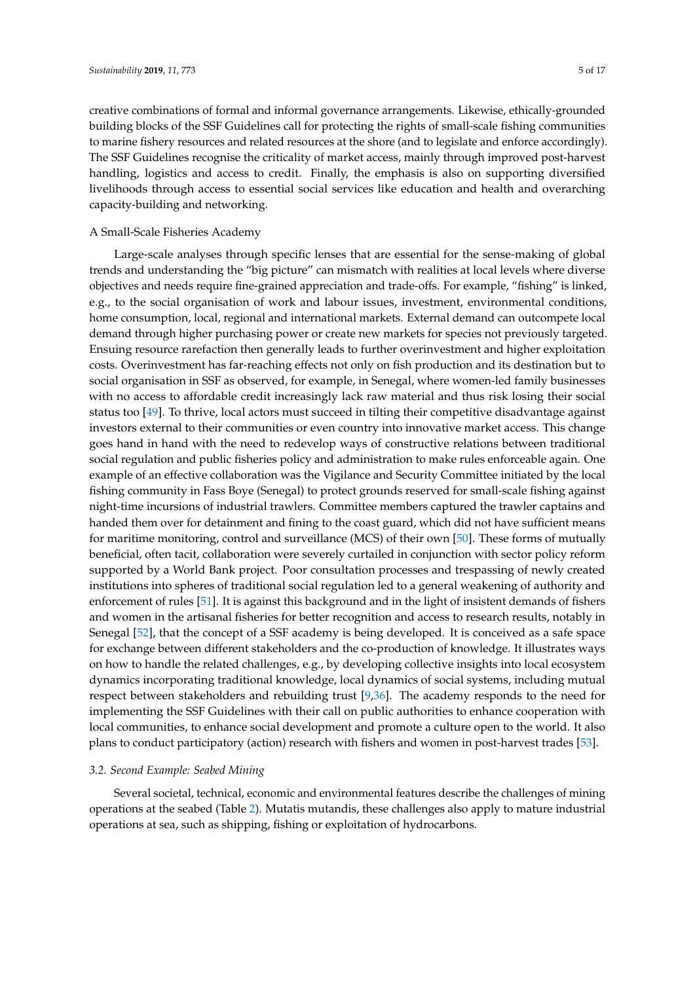creative combinations of formal and informal governance arrangements. Likewise, ethically-grounded building blocks of the SSF Guidelines call for protecting the rights of small-scale fishing communities to marine fishery resources and related resources at the shore (and to legislate and enforce accordingly). The SSF Guidelines recognise the criticality of market access, mainly through improved post-harvest handling, logistics and access to credit. Finally, the emphasis is also on supporting diversified livelihoods through access to essential social services like education and health and overarching capacity-building and networking.

#### A Small-Scale Fisheries Academy

Large-scale analyses through specific lenses that are essential for the sense-making of global trends and understanding the "big picture" can mismatch with realities at local levels where diverse objectives and needs require fine-grained appreciation and trade-offs. For example, "fishing" is linked, e.g., to the social organisation of work and labour issues, investment, environmental conditions, home consumption, local, regional and international markets. External demand can outcompete local demand through higher purchasing power or create new markets for species not previously targeted. Ensuing resource rarefaction then generally leads to further overinvestment and higher exploitation costs. Overinvestment has far-reaching effects not only on fish production and its destination but to social organisation in SSF as observed, for example, in Senegal, where women-led family businesses with no access to affordable credit increasingly lack raw material and thus risk losing their social status too [\[49\]](#page-14-4). To thrive, local actors must succeed in tilting their competitive disadvantage against investors external to their communities or even country into innovative market access. This change goes hand in hand with the need to redevelop ways of constructive relations between traditional social regulation and public fisheries policy and administration to make rules enforceable again. One example of an effective collaboration was the Vigilance and Security Committee initiated by the local fishing community in Fass Boye (Senegal) to protect grounds reserved for small-scale fishing against night-time incursions of industrial trawlers. Committee members captured the trawler captains and handed them over for detainment and fining to the coast guard, which did not have sufficient means for maritime monitoring, control and surveillance (MCS) of their own [\[50\]](#page-14-5). These forms of mutually beneficial, often tacit, collaboration were severely curtailed in conjunction with sector policy reform supported by a World Bank project. Poor consultation processes and trespassing of newly created institutions into spheres of traditional social regulation led to a general weakening of authority and enforcement of rules [\[51\]](#page-14-6). It is against this background and in the light of insistent demands of fishers and women in the artisanal fisheries for better recognition and access to research results, notably in Senegal [\[52\]](#page-14-7), that the concept of a SSF academy is being developed. It is conceived as a safe space for exchange between different stakeholders and the co-production of knowledge. It illustrates ways on how to handle the related challenges, e.g., by developing collective insights into local ecosystem dynamics incorporating traditional knowledge, local dynamics of social systems, including mutual respect between stakeholders and rebuilding trust [\[9,](#page-12-8)[36\]](#page-13-9). The academy responds to the need for implementing the SSF Guidelines with their call on public authorities to enhance cooperation with local communities, to enhance social development and promote a culture open to the world. It also plans to conduct participatory (action) research with fishers and women in post-harvest trades [\[53\]](#page-14-8).

#### *3.2. Second Example: Seabed Mining*

Several societal, technical, economic and environmental features describe the challenges of mining operations at the seabed (Table [2\)](#page-5-0). Mutatis mutandis, these challenges also apply to mature industrial operations at sea, such as shipping, fishing or exploitation of hydrocarbons.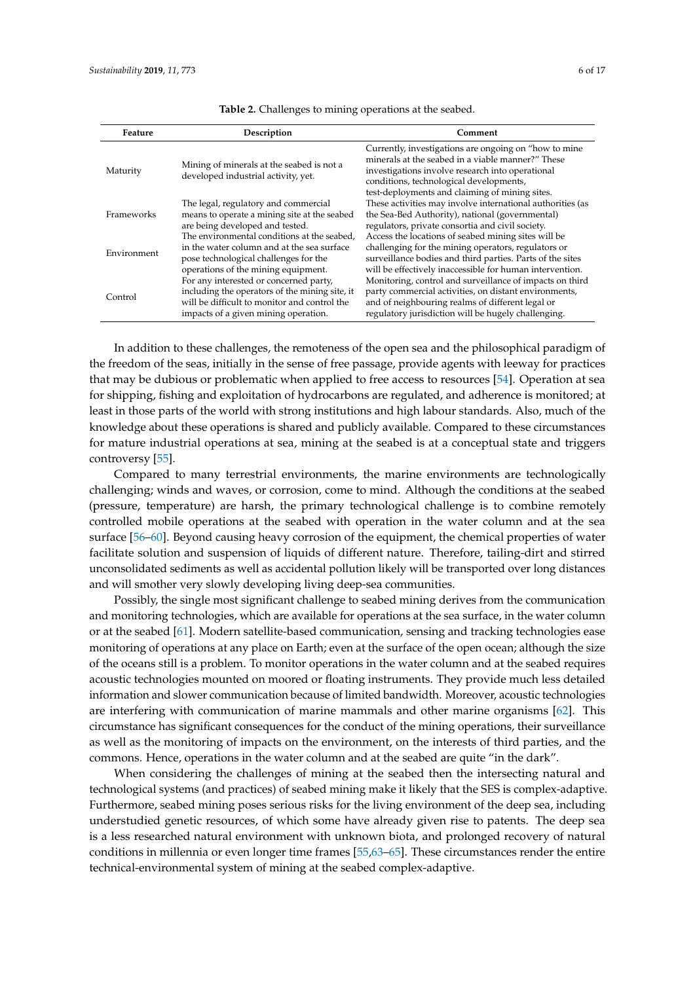<span id="page-5-0"></span>

| Feature     | Description                                                                                                                                                                      | Comment                                                                                                                                                                                                                                                      |
|-------------|----------------------------------------------------------------------------------------------------------------------------------------------------------------------------------|--------------------------------------------------------------------------------------------------------------------------------------------------------------------------------------------------------------------------------------------------------------|
| Maturity    | Mining of minerals at the seabed is not a<br>developed industrial activity, yet.                                                                                                 | Currently, investigations are ongoing on "how to mine"<br>minerals at the seabed in a viable manner?" These<br>investigations involve research into operational<br>conditions, technological developments,<br>test-deployments and claiming of mining sites. |
| Frameworks  | The legal, regulatory and commercial<br>means to operate a mining site at the seabed<br>are being developed and tested.                                                          | These activities may involve international authorities (as<br>the Sea-Bed Authority), national (governmental)<br>regulators, private consortia and civil society.                                                                                            |
| Environment | The environmental conditions at the seabed,<br>in the water column and at the sea surface<br>pose technological challenges for the<br>operations of the mining equipment.        | Access the locations of seabed mining sites will be<br>challenging for the mining operators, regulators or<br>surveillance bodies and third parties. Parts of the sites<br>will be effectively inaccessible for human intervention.                          |
| Control     | For any interested or concerned party,<br>including the operators of the mining site, it<br>will be difficult to monitor and control the<br>impacts of a given mining operation. | Monitoring, control and surveillance of impacts on third<br>party commercial activities, on distant environments,<br>and of neighbouring realms of different legal or<br>regulatory jurisdiction will be hugely challenging.                                 |

**Table 2.** Challenges to mining operations at the seabed.

In addition to these challenges, the remoteness of the open sea and the philosophical paradigm of the freedom of the seas, initially in the sense of free passage, provide agents with leeway for practices that may be dubious or problematic when applied to free access to resources [\[54\]](#page-14-9). Operation at sea for shipping, fishing and exploitation of hydrocarbons are regulated, and adherence is monitored; at least in those parts of the world with strong institutions and high labour standards. Also, much of the knowledge about these operations is shared and publicly available. Compared to these circumstances for mature industrial operations at sea, mining at the seabed is at a conceptual state and triggers controversy [\[55\]](#page-14-10).

Compared to many terrestrial environments, the marine environments are technologically challenging; winds and waves, or corrosion, come to mind. Although the conditions at the seabed (pressure, temperature) are harsh, the primary technological challenge is to combine remotely controlled mobile operations at the seabed with operation in the water column and at the sea surface [\[56](#page-14-11)[–60\]](#page-14-12). Beyond causing heavy corrosion of the equipment, the chemical properties of water facilitate solution and suspension of liquids of different nature. Therefore, tailing-dirt and stirred unconsolidated sediments as well as accidental pollution likely will be transported over long distances and will smother very slowly developing living deep-sea communities.

Possibly, the single most significant challenge to seabed mining derives from the communication and monitoring technologies, which are available for operations at the sea surface, in the water column or at the seabed [\[61\]](#page-14-13). Modern satellite-based communication, sensing and tracking technologies ease monitoring of operations at any place on Earth; even at the surface of the open ocean; although the size of the oceans still is a problem. To monitor operations in the water column and at the seabed requires acoustic technologies mounted on moored or floating instruments. They provide much less detailed information and slower communication because of limited bandwidth. Moreover, acoustic technologies are interfering with communication of marine mammals and other marine organisms [\[62\]](#page-14-14). This circumstance has significant consequences for the conduct of the mining operations, their surveillance as well as the monitoring of impacts on the environment, on the interests of third parties, and the commons. Hence, operations in the water column and at the seabed are quite "in the dark".

When considering the challenges of mining at the seabed then the intersecting natural and technological systems (and practices) of seabed mining make it likely that the SES is complex-adaptive. Furthermore, seabed mining poses serious risks for the living environment of the deep sea, including understudied genetic resources, of which some have already given rise to patents. The deep sea is a less researched natural environment with unknown biota, and prolonged recovery of natural conditions in millennia or even longer time frames [\[55](#page-14-10)[,63](#page-14-15)[–65\]](#page-14-16). These circumstances render the entire technical-environmental system of mining at the seabed complex-adaptive.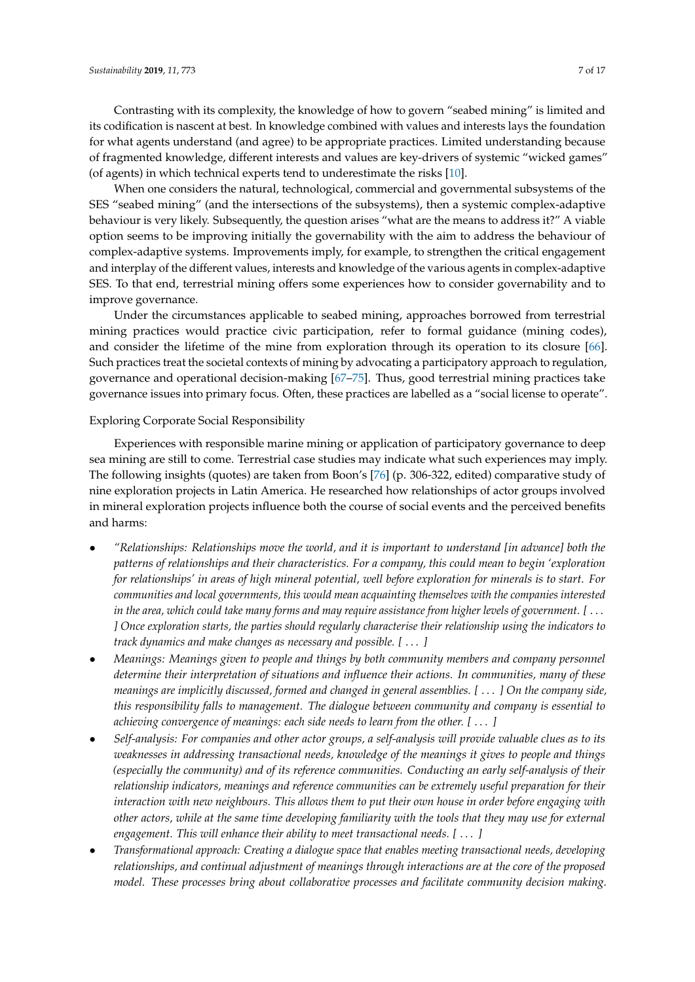Contrasting with its complexity, the knowledge of how to govern "seabed mining" is limited and its codification is nascent at best. In knowledge combined with values and interests lays the foundation for what agents understand (and agree) to be appropriate practices. Limited understanding because of fragmented knowledge, different interests and values are key-drivers of systemic "wicked games" (of agents) in which technical experts tend to underestimate the risks [\[10\]](#page-12-9).

When one considers the natural, technological, commercial and governmental subsystems of the SES "seabed mining" (and the intersections of the subsystems), then a systemic complex-adaptive behaviour is very likely. Subsequently, the question arises "what are the means to address it?" A viable option seems to be improving initially the governability with the aim to address the behaviour of complex-adaptive systems. Improvements imply, for example, to strengthen the critical engagement and interplay of the different values, interests and knowledge of the various agents in complex-adaptive SES. To that end, terrestrial mining offers some experiences how to consider governability and to improve governance.

Under the circumstances applicable to seabed mining, approaches borrowed from terrestrial mining practices would practice civic participation, refer to formal guidance (mining codes), and consider the lifetime of the mine from exploration through its operation to its closure [\[66\]](#page-15-0). Such practices treat the societal contexts of mining by advocating a participatory approach to regulation, governance and operational decision-making [\[67–](#page-15-1)[75\]](#page-15-2). Thus, good terrestrial mining practices take governance issues into primary focus. Often, these practices are labelled as a "social license to operate".

#### Exploring Corporate Social Responsibility

Experiences with responsible marine mining or application of participatory governance to deep sea mining are still to come. Terrestrial case studies may indicate what such experiences may imply. The following insights (quotes) are taken from Boon's [\[76\]](#page-15-3) (p. 306-322, edited) comparative study of nine exploration projects in Latin America. He researched how relationships of actor groups involved in mineral exploration projects influence both the course of social events and the perceived benefits and harms:

- *"Relationships: Relationships move the world, and it is important to understand [in advance] both the patterns of relationships and their characteristics. For a company, this could mean to begin 'exploration for relationships' in areas of high mineral potential, well before exploration for minerals is to start. For communities and local governments, this would mean acquainting themselves with the companies interested in the area, which could take many forms and may require assistance from higher levels of government. [* . . . *] Once exploration starts, the parties should regularly characterise their relationship using the indicators to track dynamics and make changes as necessary and possible. [* . . . *]*
- *Meanings: Meanings given to people and things by both community members and company personnel determine their interpretation of situations and influence their actions. In communities, many of these meanings are implicitly discussed, formed and changed in general assemblies. [* . . . *] On the company side, this responsibility falls to management. The dialogue between community and company is essential to achieving convergence of meanings: each side needs to learn from the other. [* . . . *]*
- *Self-analysis: For companies and other actor groups, a self-analysis will provide valuable clues as to its weaknesses in addressing transactional needs, knowledge of the meanings it gives to people and things (especially the community) and of its reference communities. Conducting an early self-analysis of their relationship indicators, meanings and reference communities can be extremely useful preparation for their interaction with new neighbours. This allows them to put their own house in order before engaging with other actors, while at the same time developing familiarity with the tools that they may use for external engagement. This will enhance their ability to meet transactional needs. [* . . . *]*
- *Transformational approach: Creating a dialogue space that enables meeting transactional needs, developing relationships, and continual adjustment of meanings through interactions are at the core of the proposed model. These processes bring about collaborative processes and facilitate community decision making.*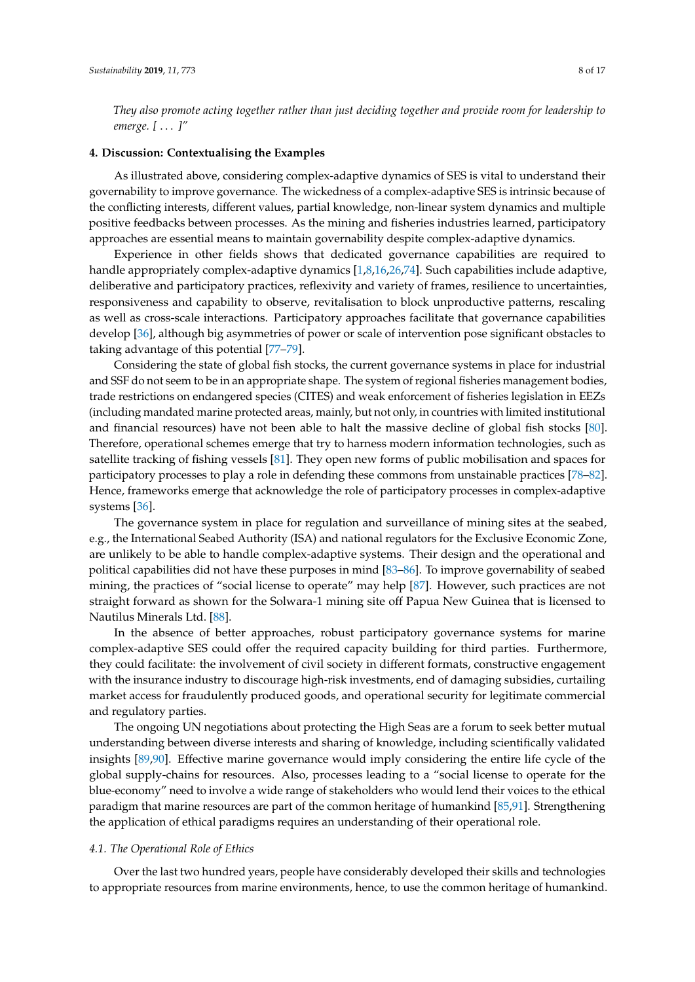*They also promote acting together rather than just deciding together and provide room for leadership to emerge. [* . . . *]"*

#### <span id="page-7-0"></span>**4. Discussion: Contextualising the Examples**

As illustrated above, considering complex-adaptive dynamics of SES is vital to understand their governability to improve governance. The wickedness of a complex-adaptive SES is intrinsic because of the conflicting interests, different values, partial knowledge, non-linear system dynamics and multiple positive feedbacks between processes. As the mining and fisheries industries learned, participatory approaches are essential means to maintain governability despite complex-adaptive dynamics.

Experience in other fields shows that dedicated governance capabilities are required to handle appropriately complex-adaptive dynamics [\[1,](#page-12-0)[8,](#page-12-7)[16,](#page-13-7)[26,](#page-13-6)[74\]](#page-15-4). Such capabilities include adaptive, deliberative and participatory practices, reflexivity and variety of frames, resilience to uncertainties, responsiveness and capability to observe, revitalisation to block unproductive patterns, rescaling as well as cross-scale interactions. Participatory approaches facilitate that governance capabilities develop [\[36\]](#page-13-9), although big asymmetries of power or scale of intervention pose significant obstacles to taking advantage of this potential [\[77](#page-15-5)[–79\]](#page-15-6).

Considering the state of global fish stocks, the current governance systems in place for industrial and SSF do not seem to be in an appropriate shape. The system of regional fisheries management bodies, trade restrictions on endangered species (CITES) and weak enforcement of fisheries legislation in EEZs (including mandated marine protected areas, mainly, but not only, in countries with limited institutional and financial resources) have not been able to halt the massive decline of global fish stocks [\[80\]](#page-15-7). Therefore, operational schemes emerge that try to harness modern information technologies, such as satellite tracking of fishing vessels [\[81\]](#page-15-8). They open new forms of public mobilisation and spaces for participatory processes to play a role in defending these commons from unstainable practices [\[78–](#page-15-9)[82\]](#page-15-10). Hence, frameworks emerge that acknowledge the role of participatory processes in complex-adaptive systems [\[36\]](#page-13-9).

The governance system in place for regulation and surveillance of mining sites at the seabed, e.g., the International Seabed Authority (ISA) and national regulators for the Exclusive Economic Zone, are unlikely to be able to handle complex-adaptive systems. Their design and the operational and political capabilities did not have these purposes in mind [\[83–](#page-15-11)[86\]](#page-15-12). To improve governability of seabed mining, the practices of "social license to operate" may help [\[87\]](#page-15-13). However, such practices are not straight forward as shown for the Solwara-1 mining site off Papua New Guinea that is licensed to Nautilus Minerals Ltd. [\[88\]](#page-15-14).

In the absence of better approaches, robust participatory governance systems for marine complex-adaptive SES could offer the required capacity building for third parties. Furthermore, they could facilitate: the involvement of civil society in different formats, constructive engagement with the insurance industry to discourage high-risk investments, end of damaging subsidies, curtailing market access for fraudulently produced goods, and operational security for legitimate commercial and regulatory parties.

The ongoing UN negotiations about protecting the High Seas are a forum to seek better mutual understanding between diverse interests and sharing of knowledge, including scientifically validated insights [\[89](#page-15-15)[,90\]](#page-15-16). Effective marine governance would imply considering the entire life cycle of the global supply-chains for resources. Also, processes leading to a "social license to operate for the blue-economy" need to involve a wide range of stakeholders who would lend their voices to the ethical paradigm that marine resources are part of the common heritage of humankind [\[85](#page-15-17)[,91\]](#page-16-0). Strengthening the application of ethical paradigms requires an understanding of their operational role.

#### *4.1. The Operational Role of Ethics*

Over the last two hundred years, people have considerably developed their skills and technologies to appropriate resources from marine environments, hence, to use the common heritage of humankind.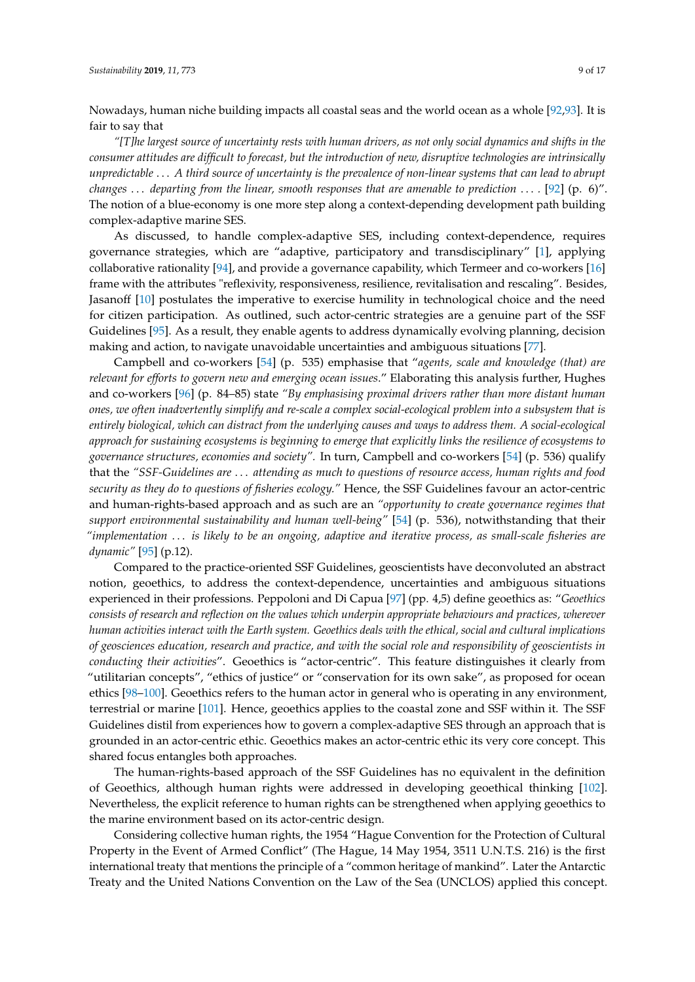Nowadays, human niche building impacts all coastal seas and the world ocean as a whole [\[92,](#page-16-1)[93\]](#page-16-2). It is fair to say that

*"[T]he largest source of uncertainty rests with human drivers, as not only social dynamics and shifts in the consumer attitudes are difficult to forecast, but the introduction of new, disruptive technologies are intrinsically unpredictable* . . . *A third source of uncertainty is the prevalence of non-linear systems that can lead to abrupt changes* . . . *departing from the linear, smooth responses that are amenable to prediction* . . . *.* [\[92\]](#page-16-1) (p. 6)". The notion of a blue-economy is one more step along a context-depending development path building complex-adaptive marine SES.

As discussed, to handle complex-adaptive SES, including context-dependence, requires governance strategies, which are "adaptive, participatory and transdisciplinary" [\[1\]](#page-12-0), applying collaborative rationality [\[94\]](#page-16-3), and provide a governance capability, which Termeer and co-workers [\[16\]](#page-13-7) frame with the attributes "reflexivity, responsiveness, resilience, revitalisation and rescaling". Besides, Jasanoff [\[10\]](#page-12-9) postulates the imperative to exercise humility in technological choice and the need for citizen participation. As outlined, such actor-centric strategies are a genuine part of the SSF Guidelines [\[95\]](#page-16-4). As a result, they enable agents to address dynamically evolving planning, decision making and action, to navigate unavoidable uncertainties and ambiguous situations [\[77\]](#page-15-5).

Campbell and co-workers [\[54\]](#page-14-9) (p. 535) emphasise that "*agents, scale and knowledge (that) are relevant for efforts to govern new and emerging ocean issues*." Elaborating this analysis further, Hughes and co-workers [\[96\]](#page-16-5) (p. 84–85) state *"By emphasising proximal drivers rather than more distant human ones, we often inadvertently simplify and re-scale a complex social-ecological problem into a subsystem that is entirely biological, which can distract from the underlying causes and ways to address them. A social-ecological approach for sustaining ecosystems is beginning to emerge that explicitly links the resilience of ecosystems to governance structures, economies and society".* In turn, Campbell and co-workers [\[54\]](#page-14-9) (p. 536) qualify that the *"SSF-Guidelines are* . . . *attending as much to questions of resource access, human rights and food security as they do to questions of fisheries ecology."* Hence, the SSF Guidelines favour an actor-centric and human-rights-based approach and as such are an *"opportunity to create governance regimes that support environmental sustainability and human well-being"* [\[54\]](#page-14-9) (p. 536), notwithstanding that their *"implementation* . . . *is likely to be an ongoing, adaptive and iterative process, as small-scale fisheries are dynamic"* [\[95\]](#page-16-4) (p.12).

Compared to the practice-oriented SSF Guidelines, geoscientists have deconvoluted an abstract notion, geoethics, to address the context-dependence, uncertainties and ambiguous situations experienced in their professions. Peppoloni and Di Capua [\[97\]](#page-16-6) (pp. 4,5) define geoethics as: "*Geoethics consists of research and reflection on the values which underpin appropriate behaviours and practices, wherever human activities interact with the Earth system. Geoethics deals with the ethical, social and cultural implications of geosciences education, research and practice, and with the social role and responsibility of geoscientists in conducting their activities*". Geoethics is "actor-centric". This feature distinguishes it clearly from "utilitarian concepts", "ethics of justice" or "conservation for its own sake", as proposed for ocean ethics [\[98–](#page-16-7)[100\]](#page-16-8). Geoethics refers to the human actor in general who is operating in any environment, terrestrial or marine [\[101\]](#page-16-9). Hence, geoethics applies to the coastal zone and SSF within it. The SSF Guidelines distil from experiences how to govern a complex-adaptive SES through an approach that is grounded in an actor-centric ethic. Geoethics makes an actor-centric ethic its very core concept. This shared focus entangles both approaches.

The human-rights-based approach of the SSF Guidelines has no equivalent in the definition of Geoethics, although human rights were addressed in developing geoethical thinking [\[102\]](#page-16-10). Nevertheless, the explicit reference to human rights can be strengthened when applying geoethics to the marine environment based on its actor-centric design.

Considering collective human rights, the 1954 "Hague Convention for the Protection of Cultural Property in the Event of Armed Conflict" (The Hague, 14 May 1954, 3511 U.N.T.S. 216) is the first international treaty that mentions the principle of a "common heritage of mankind". Later the Antarctic Treaty and the United Nations Convention on the Law of the Sea (UNCLOS) applied this concept.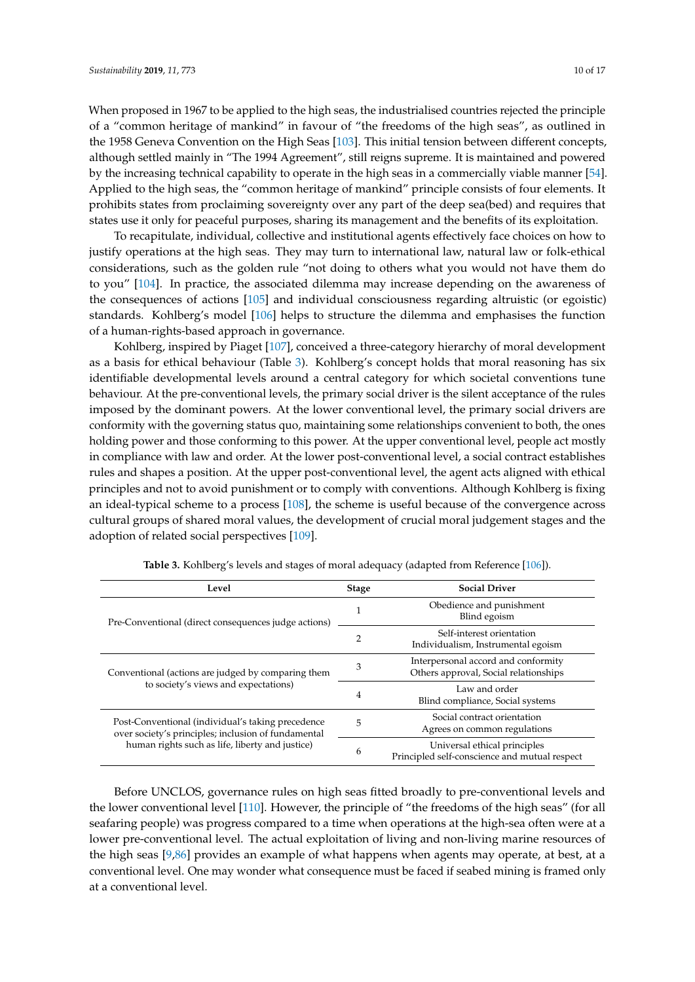When proposed in 1967 to be applied to the high seas, the industrialised countries rejected the principle of a "common heritage of mankind" in favour of "the freedoms of the high seas", as outlined in the 1958 Geneva Convention on the High Seas [\[103\]](#page-16-11). This initial tension between different concepts, although settled mainly in "The 1994 Agreement", still reigns supreme. It is maintained and powered by the increasing technical capability to operate in the high seas in a commercially viable manner [\[54\]](#page-14-9). Applied to the high seas, the "common heritage of mankind" principle consists of four elements. It prohibits states from proclaiming sovereignty over any part of the deep sea(bed) and requires that states use it only for peaceful purposes, sharing its management and the benefits of its exploitation.

To recapitulate, individual, collective and institutional agents effectively face choices on how to justify operations at the high seas. They may turn to international law, natural law or folk-ethical considerations, such as the golden rule "not doing to others what you would not have them do to you" [\[104\]](#page-16-12). In practice, the associated dilemma may increase depending on the awareness of the consequences of actions [\[105\]](#page-16-13) and individual consciousness regarding altruistic (or egoistic) standards. Kohlberg's model [\[106\]](#page-16-14) helps to structure the dilemma and emphasises the function of a human-rights-based approach in governance.

Kohlberg, inspired by Piaget [\[107\]](#page-16-15), conceived a three-category hierarchy of moral development as a basis for ethical behaviour (Table [3\)](#page-9-0). Kohlberg's concept holds that moral reasoning has six identifiable developmental levels around a central category for which societal conventions tune behaviour. At the pre-conventional levels, the primary social driver is the silent acceptance of the rules imposed by the dominant powers. At the lower conventional level, the primary social drivers are conformity with the governing status quo, maintaining some relationships convenient to both, the ones holding power and those conforming to this power. At the upper conventional level, people act mostly in compliance with law and order. At the lower post-conventional level, a social contract establishes rules and shapes a position. At the upper post-conventional level, the agent acts aligned with ethical principles and not to avoid punishment or to comply with conventions. Although Kohlberg is fixing an ideal-typical scheme to a process [\[108\]](#page-16-16), the scheme is useful because of the convergence across cultural groups of shared moral values, the development of crucial moral judgement stages and the adoption of related social perspectives [\[109\]](#page-16-17).

<span id="page-9-0"></span>

| Level                                                                                                    | <b>Stage</b> | <b>Social Driver</b>                                                          |
|----------------------------------------------------------------------------------------------------------|--------------|-------------------------------------------------------------------------------|
| Pre-Conventional (direct consequences judge actions)                                                     |              | Obedience and punishment<br>Blind egoism                                      |
|                                                                                                          |              | Self-interest orientation<br>Individualism, Instrumental egoism               |
| Conventional (actions are judged by comparing them<br>to society's views and expectations)               |              | Interpersonal accord and conformity<br>Others approval, Social relationships  |
|                                                                                                          |              | Law and order<br>Blind compliance, Social systems                             |
| Post-Conventional (individual's taking precedence<br>over society's principles; inclusion of fundamental |              | Social contract orientation<br>Agrees on common regulations                   |
| human rights such as life, liberty and justice)                                                          | 6            | Universal ethical principles<br>Principled self-conscience and mutual respect |

**Table 3.** Kohlberg's levels and stages of moral adequacy (adapted from Reference [\[106\]](#page-16-14)).

Before UNCLOS, governance rules on high seas fitted broadly to pre-conventional levels and the lower conventional level [\[110\]](#page-16-18). However, the principle of "the freedoms of the high seas" (for all seafaring people) was progress compared to a time when operations at the high-sea often were at a lower pre-conventional level. The actual exploitation of living and non-living marine resources of the high seas [\[9](#page-12-8)[,86\]](#page-15-12) provides an example of what happens when agents may operate, at best, at a conventional level. One may wonder what consequence must be faced if seabed mining is framed only at a conventional level.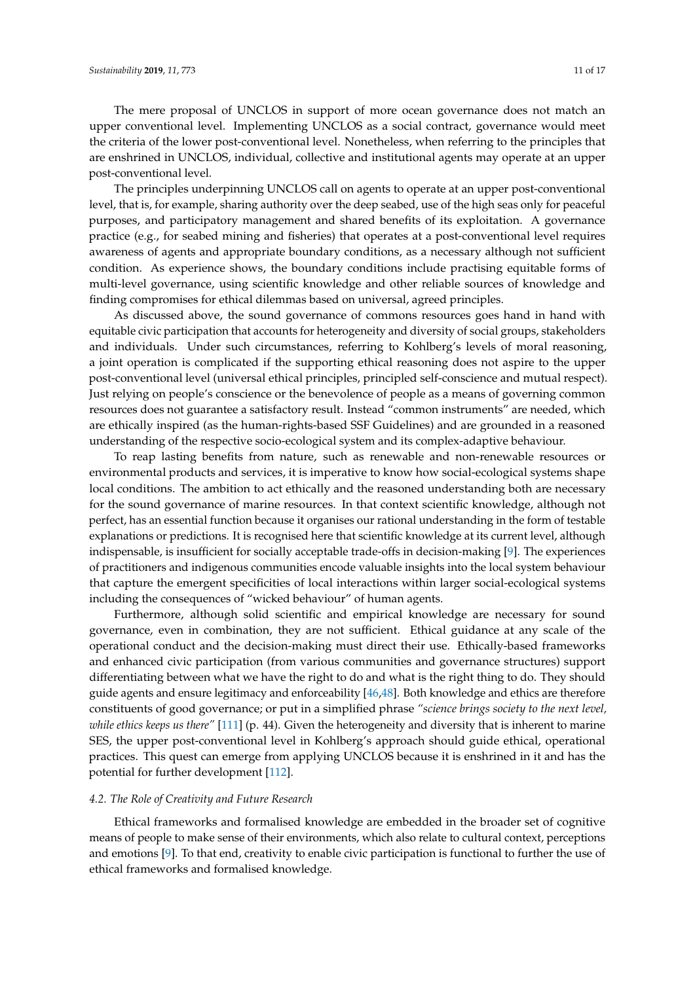The mere proposal of UNCLOS in support of more ocean governance does not match an upper conventional level. Implementing UNCLOS as a social contract, governance would meet the criteria of the lower post-conventional level. Nonetheless, when referring to the principles that are enshrined in UNCLOS, individual, collective and institutional agents may operate at an upper post-conventional level.

The principles underpinning UNCLOS call on agents to operate at an upper post-conventional level, that is, for example, sharing authority over the deep seabed, use of the high seas only for peaceful purposes, and participatory management and shared benefits of its exploitation. A governance practice (e.g., for seabed mining and fisheries) that operates at a post-conventional level requires awareness of agents and appropriate boundary conditions, as a necessary although not sufficient condition. As experience shows, the boundary conditions include practising equitable forms of multi-level governance, using scientific knowledge and other reliable sources of knowledge and finding compromises for ethical dilemmas based on universal, agreed principles.

As discussed above, the sound governance of commons resources goes hand in hand with equitable civic participation that accounts for heterogeneity and diversity of social groups, stakeholders and individuals. Under such circumstances, referring to Kohlberg's levels of moral reasoning, a joint operation is complicated if the supporting ethical reasoning does not aspire to the upper post-conventional level (universal ethical principles, principled self-conscience and mutual respect). Just relying on people's conscience or the benevolence of people as a means of governing common resources does not guarantee a satisfactory result. Instead "common instruments" are needed, which are ethically inspired (as the human-rights-based SSF Guidelines) and are grounded in a reasoned understanding of the respective socio-ecological system and its complex-adaptive behaviour.

To reap lasting benefits from nature, such as renewable and non-renewable resources or environmental products and services, it is imperative to know how social-ecological systems shape local conditions. The ambition to act ethically and the reasoned understanding both are necessary for the sound governance of marine resources. In that context scientific knowledge, although not perfect, has an essential function because it organises our rational understanding in the form of testable explanations or predictions. It is recognised here that scientific knowledge at its current level, although indispensable, is insufficient for socially acceptable trade-offs in decision-making [\[9\]](#page-12-8). The experiences of practitioners and indigenous communities encode valuable insights into the local system behaviour that capture the emergent specificities of local interactions within larger social-ecological systems including the consequences of "wicked behaviour" of human agents.

Furthermore, although solid scientific and empirical knowledge are necessary for sound governance, even in combination, they are not sufficient. Ethical guidance at any scale of the operational conduct and the decision-making must direct their use. Ethically-based frameworks and enhanced civic participation (from various communities and governance structures) support differentiating between what we have the right to do and what is the right thing to do. They should guide agents and ensure legitimacy and enforceability [\[46](#page-14-1)[,48\]](#page-14-3). Both knowledge and ethics are therefore constituents of good governance; or put in a simplified phrase *"science brings society to the next level, while ethics keeps us there"* [\[111\]](#page-16-19) (p. 44). Given the heterogeneity and diversity that is inherent to marine SES, the upper post-conventional level in Kohlberg's approach should guide ethical, operational practices. This quest can emerge from applying UNCLOS because it is enshrined in it and has the potential for further development [\[112\]](#page-16-20).

## *4.2. The Role of Creativity and Future Research*

Ethical frameworks and formalised knowledge are embedded in the broader set of cognitive means of people to make sense of their environments, which also relate to cultural context, perceptions and emotions [\[9\]](#page-12-8). To that end, creativity to enable civic participation is functional to further the use of ethical frameworks and formalised knowledge.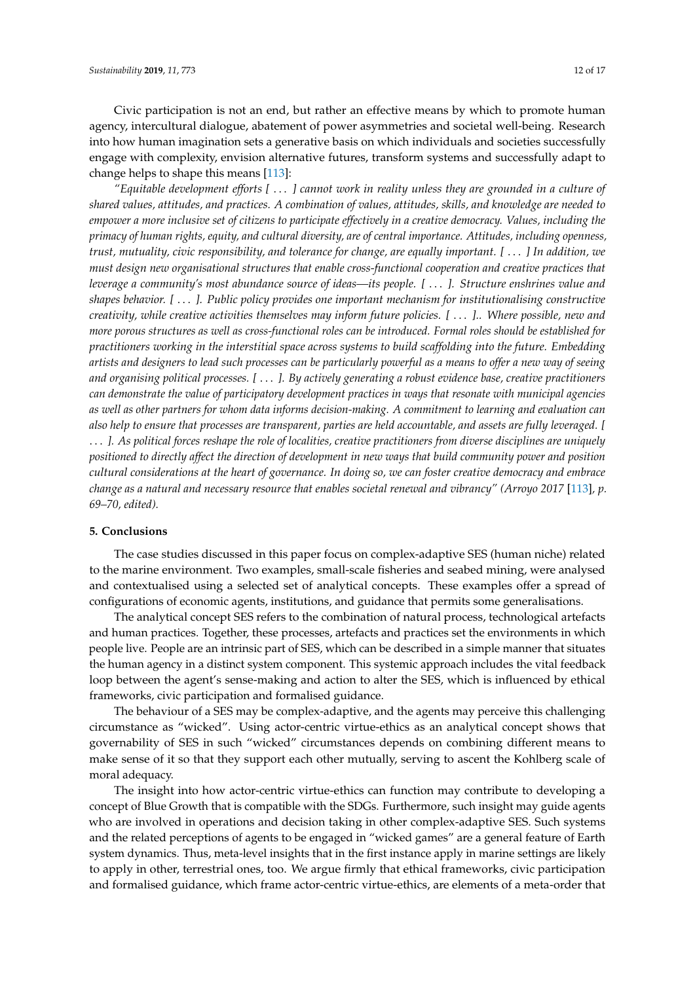Civic participation is not an end, but rather an effective means by which to promote human agency, intercultural dialogue, abatement of power asymmetries and societal well-being. Research into how human imagination sets a generative basis on which individuals and societies successfully engage with complexity, envision alternative futures, transform systems and successfully adapt to change helps to shape this means [\[113\]](#page-16-21):

*"Equitable development efforts [* . . . *] cannot work in reality unless they are grounded in a culture of shared values, attitudes, and practices. A combination of values, attitudes, skills, and knowledge are needed to empower a more inclusive set of citizens to participate effectively in a creative democracy. Values, including the primacy of human rights, equity, and cultural diversity, are of central importance. Attitudes, including openness, trust, mutuality, civic responsibility, and tolerance for change, are equally important. [* . . . *] In addition, we must design new organisational structures that enable cross-functional cooperation and creative practices that leverage a community's most abundance source of ideas—its people. [* . . . *]. Structure enshrines value and shapes behavior. [* . . . *]. Public policy provides one important mechanism for institutionalising constructive creativity, while creative activities themselves may inform future policies. [* . . . *].. Where possible, new and more porous structures as well as cross-functional roles can be introduced. Formal roles should be established for practitioners working in the interstitial space across systems to build scaffolding into the future. Embedding artists and designers to lead such processes can be particularly powerful as a means to offer a new way of seeing and organising political processes. [* . . . *]. By actively generating a robust evidence base, creative practitioners can demonstrate the value of participatory development practices in ways that resonate with municipal agencies as well as other partners for whom data informs decision-making. A commitment to learning and evaluation can also help to ensure that processes are transparent, parties are held accountable, and assets are fully leveraged. [* . . . *]. As political forces reshape the role of localities, creative practitioners from diverse disciplines are uniquely positioned to directly affect the direction of development in new ways that build community power and position cultural considerations at the heart of governance. In doing so, we can foster creative democracy and embrace change as a natural and necessary resource that enables societal renewal and vibrancy" (Arroyo 2017* [\[113\]](#page-16-21)*, p. 69–70, edited).*

#### **5. Conclusions**

The case studies discussed in this paper focus on complex-adaptive SES (human niche) related to the marine environment. Two examples, small-scale fisheries and seabed mining, were analysed and contextualised using a selected set of analytical concepts. These examples offer a spread of configurations of economic agents, institutions, and guidance that permits some generalisations.

The analytical concept SES refers to the combination of natural process, technological artefacts and human practices. Together, these processes, artefacts and practices set the environments in which people live. People are an intrinsic part of SES, which can be described in a simple manner that situates the human agency in a distinct system component. This systemic approach includes the vital feedback loop between the agent's sense-making and action to alter the SES, which is influenced by ethical frameworks, civic participation and formalised guidance.

The behaviour of a SES may be complex-adaptive, and the agents may perceive this challenging circumstance as "wicked". Using actor-centric virtue-ethics as an analytical concept shows that governability of SES in such "wicked" circumstances depends on combining different means to make sense of it so that they support each other mutually, serving to ascent the Kohlberg scale of moral adequacy.

The insight into how actor-centric virtue-ethics can function may contribute to developing a concept of Blue Growth that is compatible with the SDGs. Furthermore, such insight may guide agents who are involved in operations and decision taking in other complex-adaptive SES. Such systems and the related perceptions of agents to be engaged in "wicked games" are a general feature of Earth system dynamics. Thus, meta-level insights that in the first instance apply in marine settings are likely to apply in other, terrestrial ones, too. We argue firmly that ethical frameworks, civic participation and formalised guidance, which frame actor-centric virtue-ethics, are elements of a meta-order that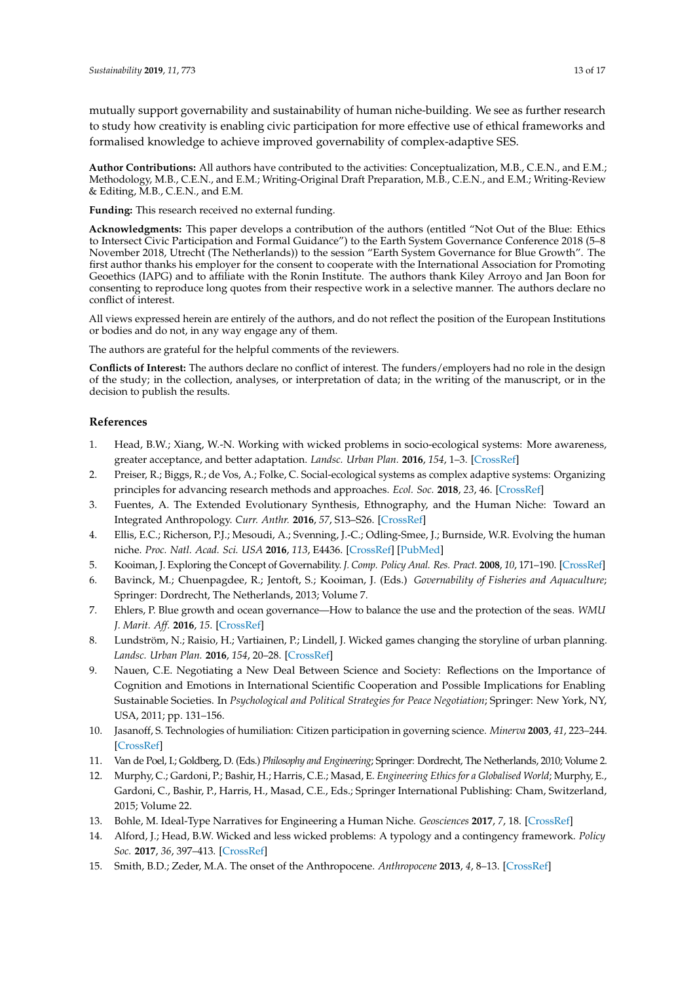mutually support governability and sustainability of human niche-building. We see as further research to study how creativity is enabling civic participation for more effective use of ethical frameworks and formalised knowledge to achieve improved governability of complex-adaptive SES.

**Author Contributions:** All authors have contributed to the activities: Conceptualization, M.B., C.E.N., and E.M.; Methodology, M.B., C.E.N., and E.M.; Writing-Original Draft Preparation, M.B., C.E.N., and E.M.; Writing-Review & Editing, M.B., C.E.N., and E.M.

**Funding:** This research received no external funding.

**Acknowledgments:** This paper develops a contribution of the authors (entitled "Not Out of the Blue: Ethics to Intersect Civic Participation and Formal Guidance") to the Earth System Governance Conference 2018 (5–8 November 2018, Utrecht (The Netherlands)) to the session "Earth System Governance for Blue Growth". The first author thanks his employer for the consent to cooperate with the International Association for Promoting Geoethics (IAPG) and to affiliate with the Ronin Institute. The authors thank Kiley Arroyo and Jan Boon for consenting to reproduce long quotes from their respective work in a selective manner. The authors declare no conflict of interest.

All views expressed herein are entirely of the authors, and do not reflect the position of the European Institutions or bodies and do not, in any way engage any of them.

The authors are grateful for the helpful comments of the reviewers.

**Conflicts of Interest:** The authors declare no conflict of interest. The funders/employers had no role in the design of the study; in the collection, analyses, or interpretation of data; in the writing of the manuscript, or in the decision to publish the results.

### **References**

- <span id="page-12-0"></span>1. Head, B.W.; Xiang, W.-N. Working with wicked problems in socio-ecological systems: More awareness, greater acceptance, and better adaptation. *Landsc. Urban Plan.* **2016**, *154*, 1–3. [\[CrossRef\]](http://dx.doi.org/10.1016/j.landurbplan.2016.07.011)
- <span id="page-12-1"></span>2. Preiser, R.; Biggs, R.; de Vos, A.; Folke, C. Social-ecological systems as complex adaptive systems: Organizing principles for advancing research methods and approaches. *Ecol. Soc.* **2018**, *23*, 46. [\[CrossRef\]](http://dx.doi.org/10.5751/ES-10558-230446)
- <span id="page-12-2"></span>3. Fuentes, A. The Extended Evolutionary Synthesis, Ethnography, and the Human Niche: Toward an Integrated Anthropology. *Curr. Anthr.* **2016**, *57*, S13–S26. [\[CrossRef\]](http://dx.doi.org/10.1086/685684)
- <span id="page-12-3"></span>4. Ellis, E.C.; Richerson, P.J.; Mesoudi, A.; Svenning, J.-C.; Odling-Smee, J.; Burnside, W.R. Evolving the human niche. *Proc. Natl. Acad. Sci. USA* **2016**, *113*, E4436. [\[CrossRef\]](http://dx.doi.org/10.1073/pnas.1609425113) [\[PubMed\]](http://www.ncbi.nlm.nih.gov/pubmed/27432994)
- <span id="page-12-4"></span>5. Kooiman, J. Exploring the Concept of Governability. *J. Comp. Policy Anal. Res. Pract.* **2008**, *10*, 171–190. [\[CrossRef\]](http://dx.doi.org/10.1080/13876980802028107)
- <span id="page-12-5"></span>6. Bavinck, M.; Chuenpagdee, R.; Jentoft, S.; Kooiman, J. (Eds.) *Governability of Fisheries and Aquaculture*; Springer: Dordrecht, The Netherlands, 2013; Volume 7.
- <span id="page-12-6"></span>7. Ehlers, P. Blue growth and ocean governance—How to balance the use and the protection of the seas. *WMU J. Marit. Aff.* **2016**, *15*. [\[CrossRef\]](http://dx.doi.org/10.1007/s13437-016-0104-x)
- <span id="page-12-7"></span>8. Lundström, N.; Raisio, H.; Vartiainen, P.; Lindell, J. Wicked games changing the storyline of urban planning. *Landsc. Urban Plan.* **2016**, *154*, 20–28. [\[CrossRef\]](http://dx.doi.org/10.1016/j.landurbplan.2016.01.010)
- <span id="page-12-8"></span>9. Nauen, C.E. Negotiating a New Deal Between Science and Society: Reflections on the Importance of Cognition and Emotions in International Scientific Cooperation and Possible Implications for Enabling Sustainable Societies. In *Psychological and Political Strategies for Peace Negotiation*; Springer: New York, NY, USA, 2011; pp. 131–156.
- <span id="page-12-9"></span>10. Jasanoff, S. Technologies of humiliation: Citizen participation in governing science. *Minerva* **2003**, *41*, 223–244. [\[CrossRef\]](http://dx.doi.org/10.1023/A:1025557512320)
- <span id="page-12-10"></span>11. Van de Poel, I.; Goldberg, D. (Eds.) *Philosophy and Engineering*; Springer: Dordrecht, The Netherlands, 2010; Volume 2.
- 12. Murphy, C.; Gardoni, P.; Bashir, H.; Harris, C.E.; Masad, E. *Engineering Ethics for a Globalised World*; Murphy, E., Gardoni, C., Bashir, P., Harris, H., Masad, C.E., Eds.; Springer International Publishing: Cham, Switzerland, 2015; Volume 22.
- <span id="page-12-11"></span>13. Bohle, M. Ideal-Type Narratives for Engineering a Human Niche. *Geosciences* **2017**, *7*, 18. [\[CrossRef\]](http://dx.doi.org/10.3390/geosciences7010018)
- <span id="page-12-12"></span>14. Alford, J.; Head, B.W. Wicked and less wicked problems: A typology and a contingency framework. *Policy Soc.* **2017**, *36*, 397–413. [\[CrossRef\]](http://dx.doi.org/10.1080/14494035.2017.1361634)
- <span id="page-12-13"></span>15. Smith, B.D.; Zeder, M.A. The onset of the Anthropocene. *Anthropocene* **2013**, *4*, 8–13. [\[CrossRef\]](http://dx.doi.org/10.1016/j.ancene.2013.05.001)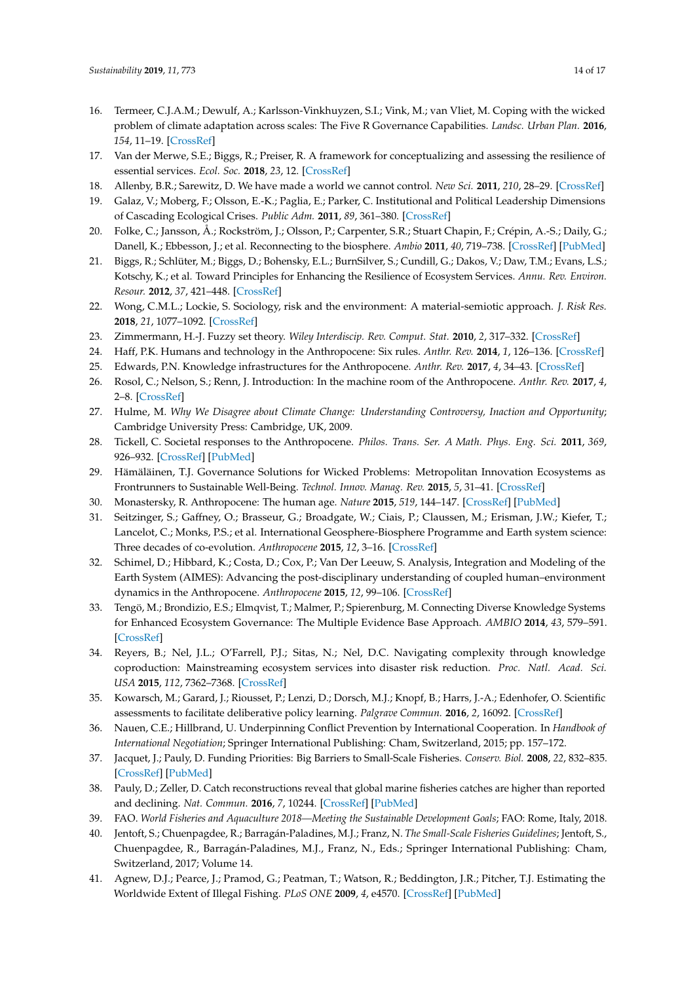- <span id="page-13-7"></span>16. Termeer, C.J.A.M.; Dewulf, A.; Karlsson-Vinkhuyzen, S.I.; Vink, M.; van Vliet, M. Coping with the wicked problem of climate adaptation across scales: The Five R Governance Capabilities. *Landsc. Urban Plan.* **2016**, *154*, 11–19. [\[CrossRef\]](http://dx.doi.org/10.1016/j.landurbplan.2016.01.007)
- <span id="page-13-0"></span>17. Van der Merwe, S.E.; Biggs, R.; Preiser, R. A framework for conceptualizing and assessing the resilience of essential services. *Ecol. Soc.* **2018**, *23*, 12. [\[CrossRef\]](http://dx.doi.org/10.5751/ES-09623-230212)
- <span id="page-13-1"></span>18. Allenby, B.R.; Sarewitz, D. We have made a world we cannot control. *New Sci.* **2011**, *210*, 28–29. [\[CrossRef\]](http://dx.doi.org/10.1016/S0262-4079(11)61113-5)
- 19. Galaz, V.; Moberg, F.; Olsson, E.-K.; Paglia, E.; Parker, C. Institutional and Political Leadership Dimensions of Cascading Ecological Crises. *Public Adm.* **2011**, *89*, 361–380. [\[CrossRef\]](http://dx.doi.org/10.1111/j.1467-9299.2010.01883.x)
- 20. Folke, C.; Jansson, Å.; Rockström, J.; Olsson, P.; Carpenter, S.R.; Stuart Chapin, F.; Crépin, A.-S.; Daily, G.; Danell, K.; Ebbesson, J.; et al. Reconnecting to the biosphere. *Ambio* **2011**, *40*, 719–738. [\[CrossRef\]](http://dx.doi.org/10.1007/s13280-011-0184-y) [\[PubMed\]](http://www.ncbi.nlm.nih.gov/pubmed/22338712)
- <span id="page-13-2"></span>21. Biggs, R.; Schlüter, M.; Biggs, D.; Bohensky, E.L.; BurnSilver, S.; Cundill, G.; Dakos, V.; Daw, T.M.; Evans, L.S.; Kotschy, K.; et al. Toward Principles for Enhancing the Resilience of Ecosystem Services. *Annu. Rev. Environ. Resour.* **2012**, *37*, 421–448. [\[CrossRef\]](http://dx.doi.org/10.1146/annurev-environ-051211-123836)
- <span id="page-13-3"></span>22. Wong, C.M.L.; Lockie, S. Sociology, risk and the environment: A material-semiotic approach. *J. Risk Res.* **2018**, *21*, 1077–1092. [\[CrossRef\]](http://dx.doi.org/10.1080/13669877.2017.1422783)
- <span id="page-13-4"></span>23. Zimmermann, H.-J. Fuzzy set theory. *Wiley Interdiscip. Rev. Comput. Stat.* **2010**, *2*, 317–332. [\[CrossRef\]](http://dx.doi.org/10.1002/wics.82)
- <span id="page-13-5"></span>24. Haff, P.K. Humans and technology in the Anthropocene: Six rules. *Anthr. Rev.* **2014**, *1*, 126–136. [\[CrossRef\]](http://dx.doi.org/10.1177/2053019614530575)
- 25. Edwards, P.N. Knowledge infrastructures for the Anthropocene. *Anthr. Rev.* **2017**, *4*, 34–43. [\[CrossRef\]](http://dx.doi.org/10.1177/2053019616679854)
- <span id="page-13-6"></span>26. Rosol, C.; Nelson, S.; Renn, J. Introduction: In the machine room of the Anthropocene. *Anthr. Rev.* **2017**, *4*, 2–8. [\[CrossRef\]](http://dx.doi.org/10.1177/2053019617701165)
- <span id="page-13-8"></span>27. Hulme, M. *Why We Disagree about Climate Change: Understanding Controversy, Inaction and Opportunity*; Cambridge University Press: Cambridge, UK, 2009.
- 28. Tickell, C. Societal responses to the Anthropocene. *Philos. Trans. Ser. A Math. Phys. Eng. Sci.* **2011**, *369*, 926–932. [\[CrossRef\]](http://dx.doi.org/10.1098/rsta.2010.0302) [\[PubMed\]](http://www.ncbi.nlm.nih.gov/pubmed/21282154)
- 29. Hämäläinen, T.J. Governance Solutions for Wicked Problems: Metropolitan Innovation Ecosystems as Frontrunners to Sustainable Well-Being. *Technol. Innov. Manag. Rev.* **2015**, *5*, 31–41. [\[CrossRef\]](http://dx.doi.org/10.22215/timreview/935)
- 30. Monastersky, R. Anthropocene: The human age. *Nature* **2015**, *519*, 144–147. [\[CrossRef\]](http://dx.doi.org/10.1038/519144a) [\[PubMed\]](http://www.ncbi.nlm.nih.gov/pubmed/25762264)
- 31. Seitzinger, S.; Gaffney, O.; Brasseur, G.; Broadgate, W.; Ciais, P.; Claussen, M.; Erisman, J.W.; Kiefer, T.; Lancelot, C.; Monks, P.S.; et al. International Geosphere-Biosphere Programme and Earth system science: Three decades of co-evolution. *Anthropocene* **2015**, *12*, 3–16. [\[CrossRef\]](http://dx.doi.org/10.1016/j.ancene.2016.01.001)
- 32. Schimel, D.; Hibbard, K.; Costa, D.; Cox, P.; Van Der Leeuw, S. Analysis, Integration and Modeling of the Earth System (AIMES): Advancing the post-disciplinary understanding of coupled human–environment dynamics in the Anthropocene. *Anthropocene* **2015**, *12*, 99–106. [\[CrossRef\]](http://dx.doi.org/10.1016/j.ancene.2016.02.001)
- 33. Tengö, M.; Brondizio, E.S.; Elmqvist, T.; Malmer, P.; Spierenburg, M. Connecting Diverse Knowledge Systems for Enhanced Ecosystem Governance: The Multiple Evidence Base Approach. *AMBIO* **2014**, *43*, 579–591. [\[CrossRef\]](http://dx.doi.org/10.1007/s13280-014-0501-3)
- 34. Reyers, B.; Nel, J.L.; O'Farrell, P.J.; Sitas, N.; Nel, D.C. Navigating complexity through knowledge coproduction: Mainstreaming ecosystem services into disaster risk reduction. *Proc. Natl. Acad. Sci. USA* **2015**, *112*, 7362–7368. [\[CrossRef\]](http://dx.doi.org/10.1073/pnas.1414374112)
- 35. Kowarsch, M.; Garard, J.; Riousset, P.; Lenzi, D.; Dorsch, M.J.; Knopf, B.; Harrs, J.-A.; Edenhofer, O. Scientific assessments to facilitate deliberative policy learning. *Palgrave Commun.* **2016**, *2*, 16092. [\[CrossRef\]](http://dx.doi.org/10.1057/palcomms.2016.92)
- <span id="page-13-9"></span>36. Nauen, C.E.; Hillbrand, U. Underpinning Conflict Prevention by International Cooperation. In *Handbook of International Negotiation*; Springer International Publishing: Cham, Switzerland, 2015; pp. 157–172.
- <span id="page-13-10"></span>37. Jacquet, J.; Pauly, D. Funding Priorities: Big Barriers to Small-Scale Fisheries. *Conserv. Biol.* **2008**, *22*, 832–835. [\[CrossRef\]](http://dx.doi.org/10.1111/j.1523-1739.2008.00978.x) [\[PubMed\]](http://www.ncbi.nlm.nih.gov/pubmed/18637910)
- <span id="page-13-11"></span>38. Pauly, D.; Zeller, D. Catch reconstructions reveal that global marine fisheries catches are higher than reported and declining. *Nat. Commun.* **2016**, *7*, 10244. [\[CrossRef\]](http://dx.doi.org/10.1038/ncomms10244) [\[PubMed\]](http://www.ncbi.nlm.nih.gov/pubmed/26784963)
- <span id="page-13-12"></span>39. FAO. *World Fisheries and Aquaculture 2018—Meeting the Sustainable Development Goals*; FAO: Rome, Italy, 2018.
- <span id="page-13-13"></span>40. Jentoft, S.; Chuenpagdee, R.; Barragán-Paladines, M.J.; Franz, N. *The Small-Scale Fisheries Guidelines*; Jentoft, S., Chuenpagdee, R., Barragán-Paladines, M.J., Franz, N., Eds.; Springer International Publishing: Cham, Switzerland, 2017; Volume 14.
- <span id="page-13-14"></span>41. Agnew, D.J.; Pearce, J.; Pramod, G.; Peatman, T.; Watson, R.; Beddington, J.R.; Pitcher, T.J. Estimating the Worldwide Extent of Illegal Fishing. *PLoS ONE* **2009**, *4*, e4570. [\[CrossRef\]](http://dx.doi.org/10.1371/journal.pone.0004570) [\[PubMed\]](http://www.ncbi.nlm.nih.gov/pubmed/19240812)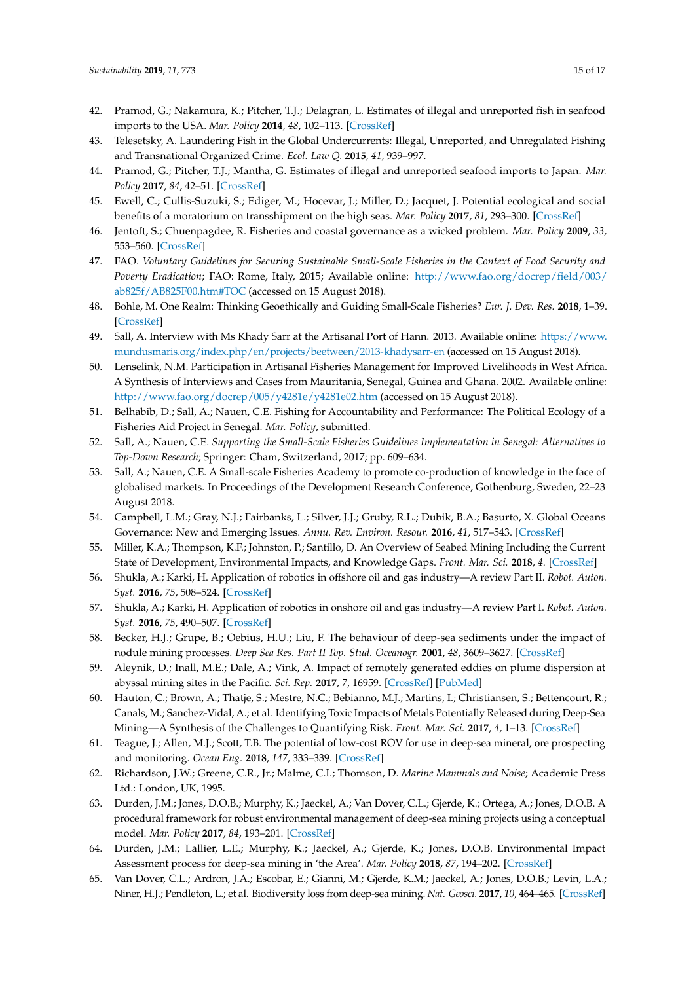- 42. Pramod, G.; Nakamura, K.; Pitcher, T.J.; Delagran, L. Estimates of illegal and unreported fish in seafood imports to the USA. *Mar. Policy* **2014**, *48*, 102–113. [\[CrossRef\]](http://dx.doi.org/10.1016/j.marpol.2014.03.019)
- 43. Telesetsky, A. Laundering Fish in the Global Undercurrents: Illegal, Unreported, and Unregulated Fishing and Transnational Organized Crime. *Ecol. Law Q.* **2015**, *41*, 939–997.
- 44. Pramod, G.; Pitcher, T.J.; Mantha, G. Estimates of illegal and unreported seafood imports to Japan. *Mar. Policy* **2017**, *84*, 42–51. [\[CrossRef\]](http://dx.doi.org/10.1016/j.marpol.2017.06.032)
- <span id="page-14-0"></span>45. Ewell, C.; Cullis-Suzuki, S.; Ediger, M.; Hocevar, J.; Miller, D.; Jacquet, J. Potential ecological and social benefits of a moratorium on transshipment on the high seas. *Mar. Policy* **2017**, *81*, 293–300. [\[CrossRef\]](http://dx.doi.org/10.1016/j.marpol.2017.04.004)
- <span id="page-14-1"></span>46. Jentoft, S.; Chuenpagdee, R. Fisheries and coastal governance as a wicked problem. *Mar. Policy* **2009**, *33*, 553–560. [\[CrossRef\]](http://dx.doi.org/10.1016/j.marpol.2008.12.002)
- <span id="page-14-2"></span>47. FAO. *Voluntary Guidelines for Securing Sustainable Small-Scale Fisheries in the Context of Food Security and Poverty Eradication*; FAO: Rome, Italy, 2015; Available online: [http://www.fao.org/docrep/field/003/](http://www.fao.org/docrep/field/003/ab825f/AB825F00.htm#TOC) [ab825f/AB825F00.htm#TOC](http://www.fao.org/docrep/field/003/ab825f/AB825F00.htm#TOC) (accessed on 15 August 2018).
- <span id="page-14-3"></span>48. Bohle, M. One Realm: Thinking Geoethically and Guiding Small-Scale Fisheries? *Eur. J. Dev. Res.* **2018**, 1–39. [\[CrossRef\]](http://dx.doi.org/10.1057/s41287-018-0146-3)
- <span id="page-14-4"></span>49. Sall, A. Interview with Ms Khady Sarr at the Artisanal Port of Hann. 2013. Available online: [https://www.](https://www.mundusmaris.org/index.php/en/projects/beetween/2013-khadysarr-en) [mundusmaris.org/index.php/en/projects/beetween/2013-khadysarr-en](https://www.mundusmaris.org/index.php/en/projects/beetween/2013-khadysarr-en) (accessed on 15 August 2018).
- <span id="page-14-5"></span>50. Lenselink, N.M. Participation in Artisanal Fisheries Management for Improved Livelihoods in West Africa. A Synthesis of Interviews and Cases from Mauritania, Senegal, Guinea and Ghana. 2002. Available online: <http://www.fao.org/docrep/005/y4281e/y4281e02.htm> (accessed on 15 August 2018).
- <span id="page-14-6"></span>51. Belhabib, D.; Sall, A.; Nauen, C.E. Fishing for Accountability and Performance: The Political Ecology of a Fisheries Aid Project in Senegal. *Mar. Policy*, submitted.
- <span id="page-14-7"></span>52. Sall, A.; Nauen, C.E. *Supporting the Small-Scale Fisheries Guidelines Implementation in Senegal: Alternatives to Top-Down Research*; Springer: Cham, Switzerland, 2017; pp. 609–634.
- <span id="page-14-8"></span>53. Sall, A.; Nauen, C.E. A Small-scale Fisheries Academy to promote co-production of knowledge in the face of globalised markets. In Proceedings of the Development Research Conference, Gothenburg, Sweden, 22–23 August 2018.
- <span id="page-14-9"></span>54. Campbell, L.M.; Gray, N.J.; Fairbanks, L.; Silver, J.J.; Gruby, R.L.; Dubik, B.A.; Basurto, X. Global Oceans Governance: New and Emerging Issues. *Annu. Rev. Environ. Resour.* **2016**, *41*, 517–543. [\[CrossRef\]](http://dx.doi.org/10.1146/annurev-environ-102014-021121)
- <span id="page-14-10"></span>55. Miller, K.A.; Thompson, K.F.; Johnston, P.; Santillo, D. An Overview of Seabed Mining Including the Current State of Development, Environmental Impacts, and Knowledge Gaps. *Front. Mar. Sci.* **2018**, *4*. [\[CrossRef\]](http://dx.doi.org/10.3389/fmars.2017.00418)
- <span id="page-14-11"></span>56. Shukla, A.; Karki, H. Application of robotics in offshore oil and gas industry—A review Part II. *Robot. Auton. Syst.* **2016**, *75*, 508–524. [\[CrossRef\]](http://dx.doi.org/10.1016/j.robot.2015.09.013)
- 57. Shukla, A.; Karki, H. Application of robotics in onshore oil and gas industry—A review Part I. *Robot. Auton. Syst.* **2016**, *75*, 490–507. [\[CrossRef\]](http://dx.doi.org/10.1016/j.robot.2015.09.012)
- 58. Becker, H.J.; Grupe, B.; Oebius, H.U.; Liu, F. The behaviour of deep-sea sediments under the impact of nodule mining processes. *Deep Sea Res. Part II Top. Stud. Oceanogr.* **2001**, *48*, 3609–3627. [\[CrossRef\]](http://dx.doi.org/10.1016/S0967-0645(01)00059-5)
- 59. Aleynik, D.; Inall, M.E.; Dale, A.; Vink, A. Impact of remotely generated eddies on plume dispersion at abyssal mining sites in the Pacific. *Sci. Rep.* **2017**, *7*, 16959. [\[CrossRef\]](http://dx.doi.org/10.1038/s41598-017-16912-2) [\[PubMed\]](http://www.ncbi.nlm.nih.gov/pubmed/29208985)
- <span id="page-14-12"></span>60. Hauton, C.; Brown, A.; Thatje, S.; Mestre, N.C.; Bebianno, M.J.; Martins, I.; Christiansen, S.; Bettencourt, R.; Canals, M.; Sanchez-Vidal, A.; et al. Identifying Toxic Impacts of Metals Potentially Released during Deep-Sea Mining—A Synthesis of the Challenges to Quantifying Risk. *Front. Mar. Sci.* **2017**, *4*, 1–13. [\[CrossRef\]](http://dx.doi.org/10.3389/fmars.2017.00368)
- <span id="page-14-13"></span>61. Teague, J.; Allen, M.J.; Scott, T.B. The potential of low-cost ROV for use in deep-sea mineral, ore prospecting and monitoring. *Ocean Eng.* **2018**, *147*, 333–339. [\[CrossRef\]](http://dx.doi.org/10.1016/j.oceaneng.2017.10.046)
- <span id="page-14-14"></span>62. Richardson, J.W.; Greene, C.R., Jr.; Malme, C.I.; Thomson, D. *Marine Mammals and Noise*; Academic Press Ltd.: London, UK, 1995.
- <span id="page-14-15"></span>63. Durden, J.M.; Jones, D.O.B.; Murphy, K.; Jaeckel, A.; Van Dover, C.L.; Gjerde, K.; Ortega, A.; Jones, D.O.B. A procedural framework for robust environmental management of deep-sea mining projects using a conceptual model. *Mar. Policy* **2017**, *84*, 193–201. [\[CrossRef\]](http://dx.doi.org/10.1016/j.marpol.2017.07.002)
- 64. Durden, J.M.; Lallier, L.E.; Murphy, K.; Jaeckel, A.; Gjerde, K.; Jones, D.O.B. Environmental Impact Assessment process for deep-sea mining in 'the Area'. *Mar. Policy* **2018**, *87*, 194–202. [\[CrossRef\]](http://dx.doi.org/10.1016/j.marpol.2017.10.013)
- <span id="page-14-16"></span>65. Van Dover, C.L.; Ardron, J.A.; Escobar, E.; Gianni, M.; Gjerde, K.M.; Jaeckel, A.; Jones, D.O.B.; Levin, L.A.; Niner, H.J.; Pendleton, L.; et al. Biodiversity loss from deep-sea mining. *Nat. Geosci.* **2017**, *10*, 464–465. [\[CrossRef\]](http://dx.doi.org/10.1038/ngeo2983)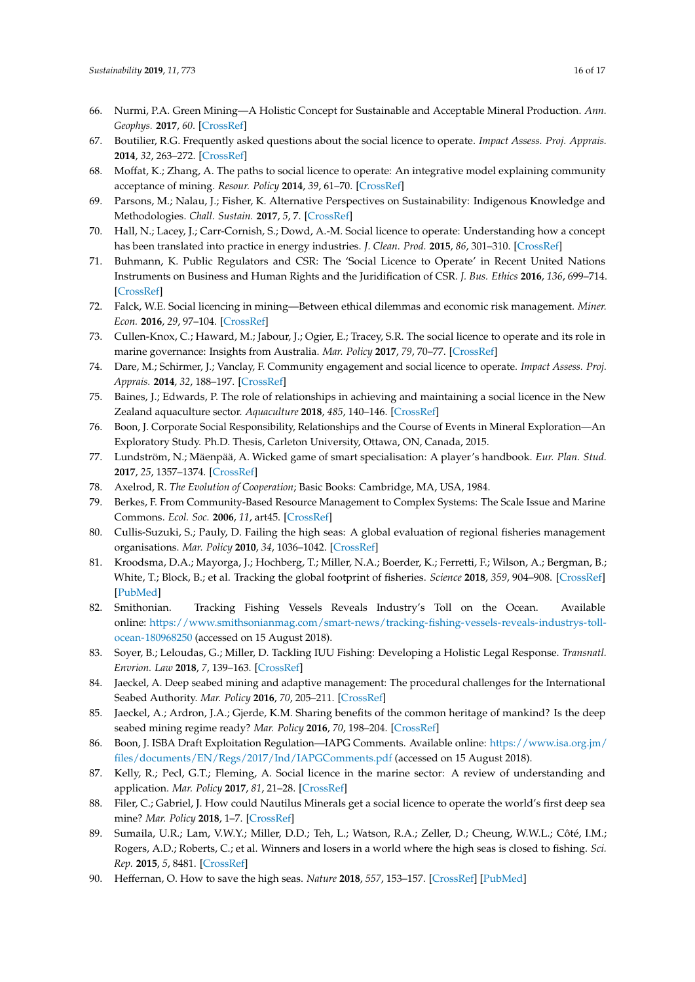- <span id="page-15-0"></span>66. Nurmi, P.A. Green Mining—A Holistic Concept for Sustainable and Acceptable Mineral Production. *Ann. Geophys.* **2017**, *60*. [\[CrossRef\]](http://dx.doi.org/10.4401/ag-7420)
- <span id="page-15-1"></span>67. Boutilier, R.G. Frequently asked questions about the social licence to operate. *Impact Assess. Proj. Apprais.* **2014**, *32*, 263–272. [\[CrossRef\]](http://dx.doi.org/10.1080/14615517.2014.941141)
- 68. Moffat, K.; Zhang, A. The paths to social licence to operate: An integrative model explaining community acceptance of mining. *Resour. Policy* **2014**, *39*, 61–70. [\[CrossRef\]](http://dx.doi.org/10.1016/j.resourpol.2013.11.003)
- 69. Parsons, M.; Nalau, J.; Fisher, K. Alternative Perspectives on Sustainability: Indigenous Knowledge and Methodologies. *Chall. Sustain.* **2017**, *5*, 7. [\[CrossRef\]](http://dx.doi.org/10.12924/cis2017.05010007)
- 70. Hall, N.; Lacey, J.; Carr-Cornish, S.; Dowd, A.-M. Social licence to operate: Understanding how a concept has been translated into practice in energy industries. *J. Clean. Prod.* **2015**, *86*, 301–310. [\[CrossRef\]](http://dx.doi.org/10.1016/j.jclepro.2014.08.020)
- 71. Buhmann, K. Public Regulators and CSR: The 'Social Licence to Operate' in Recent United Nations Instruments on Business and Human Rights and the Juridification of CSR. *J. Bus. Ethics* **2016**, *136*, 699–714. [\[CrossRef\]](http://dx.doi.org/10.1007/s10551-015-2869-9)
- 72. Falck, W.E. Social licencing in mining—Between ethical dilemmas and economic risk management. *Miner. Econ.* **2016**, *29*, 97–104. [\[CrossRef\]](http://dx.doi.org/10.1007/s13563-016-0089-0)
- 73. Cullen-Knox, C.; Haward, M.; Jabour, J.; Ogier, E.; Tracey, S.R. The social licence to operate and its role in marine governance: Insights from Australia. *Mar. Policy* **2017**, *79*, 70–77. [\[CrossRef\]](http://dx.doi.org/10.1016/j.marpol.2017.02.013)
- <span id="page-15-4"></span>74. Dare, M.; Schirmer, J.; Vanclay, F. Community engagement and social licence to operate. *Impact Assess. Proj. Apprais.* **2014**, *32*, 188–197. [\[CrossRef\]](http://dx.doi.org/10.1080/14615517.2014.927108)
- <span id="page-15-2"></span>75. Baines, J.; Edwards, P. The role of relationships in achieving and maintaining a social licence in the New Zealand aquaculture sector. *Aquaculture* **2018**, *485*, 140–146. [\[CrossRef\]](http://dx.doi.org/10.1016/j.aquaculture.2017.11.047)
- <span id="page-15-3"></span>76. Boon, J. Corporate Social Responsibility, Relationships and the Course of Events in Mineral Exploration—An Exploratory Study. Ph.D. Thesis, Carleton University, Ottawa, ON, Canada, 2015.
- <span id="page-15-5"></span>77. Lundström, N.; Mäenpää, A. Wicked game of smart specialisation: A player's handbook. *Eur. Plan. Stud.* **2017**, *25*, 1357–1374. [\[CrossRef\]](http://dx.doi.org/10.1080/09654313.2017.1307328)
- <span id="page-15-9"></span>78. Axelrod, R. *The Evolution of Cooperation*; Basic Books: Cambridge, MA, USA, 1984.
- <span id="page-15-6"></span>79. Berkes, F. From Community-Based Resource Management to Complex Systems: The Scale Issue and Marine Commons. *Ecol. Soc.* **2006**, *11*, art45. [\[CrossRef\]](http://dx.doi.org/10.5751/ES-01431-110145)
- <span id="page-15-7"></span>80. Cullis-Suzuki, S.; Pauly, D. Failing the high seas: A global evaluation of regional fisheries management organisations. *Mar. Policy* **2010**, *34*, 1036–1042. [\[CrossRef\]](http://dx.doi.org/10.1016/j.marpol.2010.03.002)
- <span id="page-15-8"></span>81. Kroodsma, D.A.; Mayorga, J.; Hochberg, T.; Miller, N.A.; Boerder, K.; Ferretti, F.; Wilson, A.; Bergman, B.; White, T.; Block, B.; et al. Tracking the global footprint of fisheries. *Science* **2018**, *359*, 904–908. [\[CrossRef\]](http://dx.doi.org/10.1126/science.aao5646) [\[PubMed\]](http://www.ncbi.nlm.nih.gov/pubmed/29472481)
- <span id="page-15-10"></span>82. Smithonian. Tracking Fishing Vessels Reveals Industry's Toll on the Ocean. Available online: [https://www.smithsonianmag.com/smart-news/tracking-fishing-vessels-reveals-industrys-toll](https://www.smithsonianmag.com/smart-news/tracking-fishing-vessels-reveals-industrys-toll-ocean-180968250)[ocean-180968250](https://www.smithsonianmag.com/smart-news/tracking-fishing-vessels-reveals-industrys-toll-ocean-180968250) (accessed on 15 August 2018).
- <span id="page-15-11"></span>83. Soyer, B.; Leloudas, G.; Miller, D. Tackling IUU Fishing: Developing a Holistic Legal Response. *Transnatl. Envrion. Law* **2018**, *7*, 139–163. [\[CrossRef\]](http://dx.doi.org/10.1017/S2047102517000267)
- 84. Jaeckel, A. Deep seabed mining and adaptive management: The procedural challenges for the International Seabed Authority. *Mar. Policy* **2016**, *70*, 205–211. [\[CrossRef\]](http://dx.doi.org/10.1016/j.marpol.2016.03.008)
- <span id="page-15-17"></span>85. Jaeckel, A.; Ardron, J.A.; Gjerde, K.M. Sharing benefits of the common heritage of mankind? Is the deep seabed mining regime ready? *Mar. Policy* **2016**, *70*, 198–204. [\[CrossRef\]](http://dx.doi.org/10.1016/j.marpol.2016.03.009)
- <span id="page-15-12"></span>86. Boon, J. ISBA Draft Exploitation Regulation—IAPG Comments. Available online: [https://www.isa.org.jm/](https://www.isa.org.jm/files/documents/EN/Regs/2017/Ind/IAPGComments.pdf) [files/documents/EN/Regs/2017/Ind/IAPGComments.pdf](https://www.isa.org.jm/files/documents/EN/Regs/2017/Ind/IAPGComments.pdf) (accessed on 15 August 2018).
- <span id="page-15-13"></span>87. Kelly, R.; Pecl, G.T.; Fleming, A. Social licence in the marine sector: A review of understanding and application. *Mar. Policy* **2017**, *81*, 21–28. [\[CrossRef\]](http://dx.doi.org/10.1016/j.marpol.2017.03.005)
- <span id="page-15-14"></span>88. Filer, C.; Gabriel, J. How could Nautilus Minerals get a social licence to operate the world's first deep sea mine? *Mar. Policy* **2018**, 1–7. [\[CrossRef\]](http://dx.doi.org/10.1016/j.marpol.2016.12.001)
- <span id="page-15-15"></span>89. Sumaila, U.R.; Lam, V.W.Y.; Miller, D.D.; Teh, L.; Watson, R.A.; Zeller, D.; Cheung, W.W.L.; Côté, I.M.; Rogers, A.D.; Roberts, C.; et al. Winners and losers in a world where the high seas is closed to fishing. *Sci. Rep.* **2015**, *5*, 8481. [\[CrossRef\]](http://dx.doi.org/10.1038/srep08481)
- <span id="page-15-16"></span>90. Heffernan, O. How to save the high seas. *Nature* **2018**, *557*, 153–157. [\[CrossRef\]](http://dx.doi.org/10.1038/d41586-018-05079-z) [\[PubMed\]](http://www.ncbi.nlm.nih.gov/pubmed/29743713)